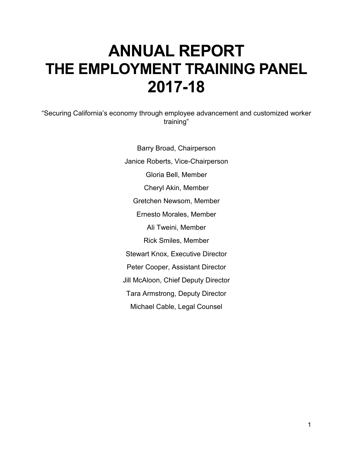# **ANNUAL REPORT THE EMPLOYMENT TRAINING PANEL 2017-18**

"Securing California's economy through employee advancement and customized worker training"

> Barry Broad, Chairperson Janice Roberts, Vice-Chairperson Gloria Bell, Member Cheryl Akin, Member Gretchen Newsom, Member Ernesto Morales, Member Ali Tweini, Member Rick Smiles, Member Stewart Knox, Executive Director Peter Cooper, Assistant Director Jill McAloon, Chief Deputy Director Tara Armstrong, Deputy Director Michael Cable, Legal Counsel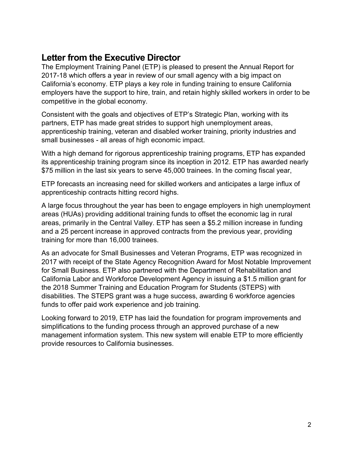### **Letter from the Executive Director**

The Employment Training Panel (ETP) is pleased to present the Annual Report for 2017-18 which offers a year in review of our small agency with a big impact on California's economy. ETP plays a key role in funding training to ensure California employers have the support to hire, train, and retain highly skilled workers in order to be competitive in the global economy.

Consistent with the goals and objectives of ETP's Strategic Plan, working with its partners, ETP has made great strides to support high unemployment areas, apprenticeship training, veteran and disabled worker training, priority industries and small businesses - all areas of high economic impact.

With a high demand for rigorous apprenticeship training programs, ETP has expanded its apprenticeship training program since its inception in 2012. ETP has awarded nearly \$75 million in the last six years to serve 45,000 trainees. In the coming fiscal year,

ETP forecasts an increasing need for skilled workers and anticipates a large influx of apprenticeship contracts hitting record highs.

A large focus throughout the year has been to engage employers in high unemployment areas (HUAs) providing additional training funds to offset the economic lag in rural areas, primarily in the Central Valley. ETP has seen a \$5.2 million increase in funding and a 25 percent increase in approved contracts from the previous year, providing training for more than 16,000 trainees.

As an advocate for Small Businesses and Veteran Programs, ETP was recognized in 2017 with receipt of the State Agency Recognition Award for Most Notable Improvement for Small Business. ETP also partnered with the Department of Rehabilitation and California Labor and Workforce Development Agency in issuing a \$1.5 million grant for the 2018 Summer Training and Education Program for Students (STEPS) with disabilities. The STEPS grant was a huge success, awarding 6 workforce agencies funds to offer paid work experience and job training.

Looking forward to 2019, ETP has laid the foundation for program improvements and simplifications to the funding process through an approved purchase of a new management information system. This new system will enable ETP to more efficiently provide resources to California businesses.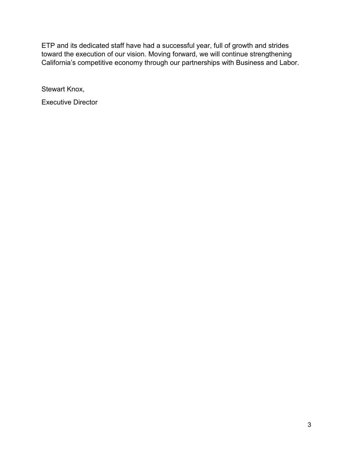ETP and its dedicated staff have had a successful year, full of growth and strides toward the execution of our vision. Moving forward, we will continue strengthening California's competitive economy through our partnerships with Business and Labor.

Stewart Knox,

Executive Director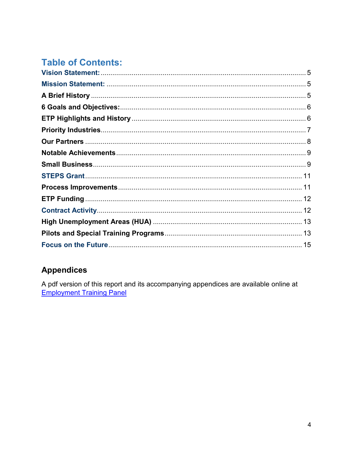# **Table of Contents:**

#### **Appendices**

A pdf version of this report and its accompanying appendices are available online at **Employment Training Panel**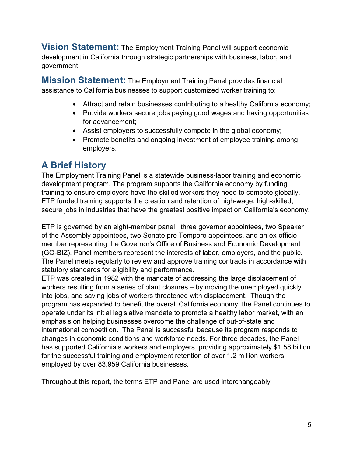<span id="page-4-0"></span>**Vision Statement:** The Employment Training Panel will support economic development in California through strategic partnerships with business, labor, and government.

<span id="page-4-1"></span>**Mission Statement:** The Employment Training Panel provides financial assistance to California businesses to support customized worker training to:

- Attract and retain businesses contributing to a healthy California economy;
- Provide workers secure jobs paying good wages and having opportunities for advancement;
- Assist employers to successfully compete in the global economy;
- Promote benefits and ongoing investment of employee training among employers.

### <span id="page-4-2"></span>**A Brief History**

The Employment Training Panel is a statewide business-labor training and economic development program. The program supports the California economy by funding training to ensure employers have the skilled workers they need to compete globally. ETP funded training supports the creation and retention of high-wage, high-skilled, secure jobs in industries that have the greatest positive impact on California's economy.

ETP is governed by an eight-member panel: three governor appointees, two Speaker of the Assembly appointees, two Senate pro Tempore appointees, and an ex-officio member representing the Governor's Office of Business and Economic Development (GO-BIZ). Panel members represent the interests of labor, employers, and the public. The Panel meets regularly to review and approve training contracts in accordance with statutory standards for eligibility and performance.

ETP was created in 1982 with the mandate of addressing the large displacement of workers resulting from a series of plant closures – by moving the unemployed quickly into jobs, and saving jobs of workers threatened with displacement. Though the program has expanded to benefit the overall California economy, the Panel continues to operate under its initial legislative mandate to promote a healthy labor market, with an emphasis on helping businesses overcome the challenge of out-of-state and international competition. The Panel is successful because its program responds to changes in economic conditions and workforce needs. For three decades, the Panel has supported California's workers and employers, providing approximately \$1.58 billion for the successful training and employment retention of over 1.2 million workers employed by over 83,959 California businesses.

Throughout this report, the terms ETP and Panel are used interchangeably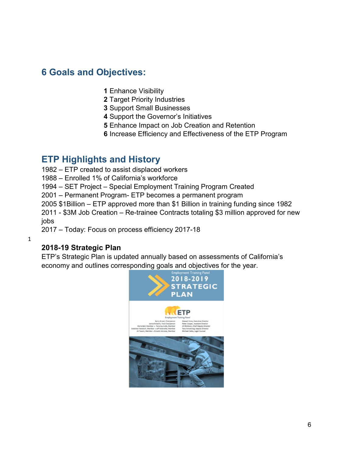#### <span id="page-5-0"></span>**6 Goals and Objectives:**

- **1** Enhance Visibility
- **2** Target Priority Industries
- **3** Support Small Businesses
- **4** Support the Governor's Initiatives
- **5** Enhance Impact on Job Creation and Retention
- **6** Increase Efficiency and Effectiveness of the ETP Program

#### <span id="page-5-1"></span>**ETP Highlights and History**

- 1982 ETP created to assist displaced workers
- 1988 Enrolled 1% of California's workforce
- 1994 SET Project Special Employment Training Program Created
- 2001 Permanent Program- ETP becomes a permanent program
- 2005 \$1Billion ETP approved more than \$1 Billion in training funding since 1982

2011 - \$3M Job Creation – Re-trainee Contracts totaling \$3 million approved for new jobs

2017 – Today: Focus on process efficiency 2017-18

1

#### **2018-19 Strategic Plan**

ETP's Strategic Plan is updated annually based on assessments of California's economy and outlines corresponding goals and objectives for the year.

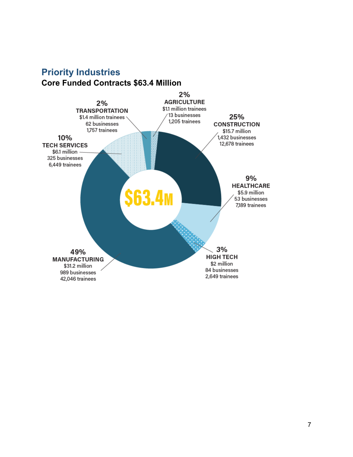#### <span id="page-6-0"></span>**Priority Industries Core Funded Contracts \$63.4 Million**

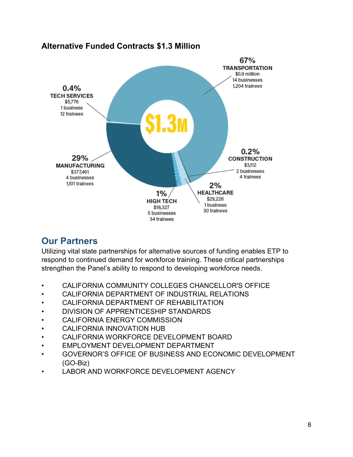

#### **Alternative Funded Contracts \$1.3 Million**

### <span id="page-7-0"></span>**Our Partners**

Utilizing vital state partnerships for alternative sources of funding enables ETP to respond to continued demand for workforce training. These critical partnerships strengthen the Panel's ability to respond to developing workforce needs.

- CALIFORNIA COMMUNITY COLLEGES CHANCELLOR'S OFFICE
- CALIFORNIA DEPARTMENT OF INDUSTRIAL RELATIONS
- CALIFORNIA DEPARTMENT OF REHABILITATION
- DIVISION OF APPRENTICESHIP STANDARDS
- CALIFORNIA ENERGY COMMISSION
- CALIFORNIA INNOVATION HUB
- CALIFORNIA WORKFORCE DEVELOPMENT BOARD
- EMPLOYMENT DEVELOPMENT DEPARTMENT
- GOVERNOR'S OFFICE OF BUSINESS AND ECONOMIC DEVELOPMENT (GO-Biz)
- LABOR AND WORKFORCE DEVELOPMENT AGENCY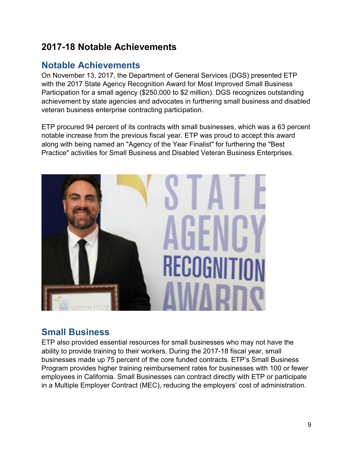### **2017-18 Notable Achievements**

### <span id="page-8-0"></span>**Notable Achievements**

On November 13, 2017, the Department of General Services (DGS) presented ETP with the 2017 State Agency Recognition Award for Most Improved Small Business Participation for a small agency (\$250,000 to \$2 million). DGS recognizes outstanding achievement by state agencies and advocates in furthering small business and disabled veteran business enterprise contracting participation.

ETP procured 94 percent of its contracts with small businesses, which was a 63 percent notable increase from the previous fiscal year. ETP was proud to accept this award along with being named an "Agency of the Year Finalist" for furthering the "Best Practice" activities for Small Business and Disabled Veteran Business Enterprises.



### <span id="page-8-1"></span>**Small Business**

ETP also provided essential resources for small businesses who may not have the ability to provide training to their workers. During the 2017-18 fiscal year, small businesses made up 75 percent of the core funded contracts. ETP's Small Business Program provides higher training reimbursement rates for businesses with 100 or fewer employees in California. Small Businesses can contract directly with ETP or participate in a Multiple Employer Contract (MEC), reducing the employers' cost of administration.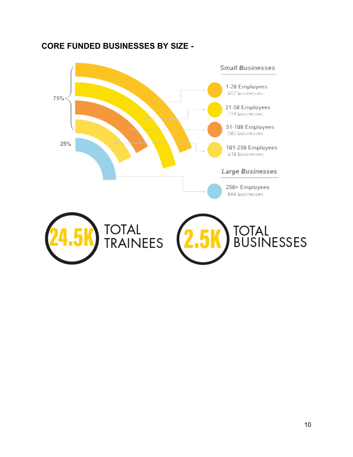

#### **CORE FUNDED BUSINESSES BY SIZE -**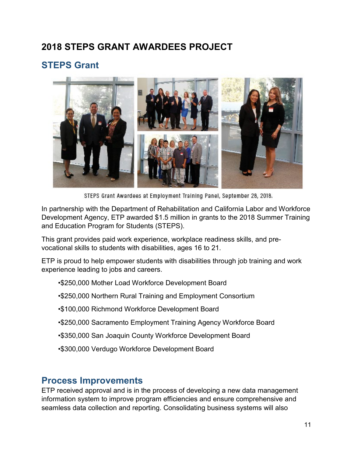### **2018 STEPS GRANT AWARDEES PROJECT**

## <span id="page-10-0"></span>**STEPS Grant**



STEPS Grant Awardees at Employment Training Panel, September 28, 2018.

In partnership with the Department of Rehabilitation and California Labor and Workforce Development Agency, ETP awarded \$1.5 million in grants to the 2018 Summer Training and Education Program for Students (STEPS).

This grant provides paid work experience, workplace readiness skills, and prevocational skills to students with disabilities, ages 16 to 21.

ETP is proud to help empower students with disabilities through job training and work experience leading to jobs and careers.

•\$250,000 Mother Load Workforce Development Board

•\$250,000 Northern Rural Training and Employment Consortium

•\$100,000 Richmond Workforce Development Board

- •\$250,000 Sacramento Employment Training Agency Workforce Board
- •\$350,000 San Joaquin County Workforce Development Board
- •\$300,000 Verdugo Workforce Development Board

#### <span id="page-10-1"></span>**Process Improvements**

ETP received approval and is in the process of developing a new data management information system to improve program efficiencies and ensure comprehensive and seamless data collection and reporting. Consolidating business systems will also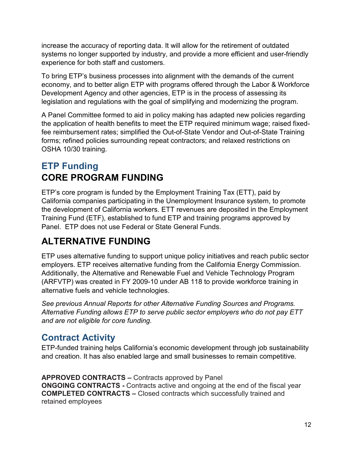increase the accuracy of reporting data. It will allow for the retirement of outdated systems no longer supported by industry, and provide a more efficient and user-friendly experience for both staff and customers.

To bring ETP's business processes into alignment with the demands of the current economy, and to better align ETP with programs offered through the Labor & Workforce Development Agency and other agencies, ETP is in the process of assessing its legislation and regulations with the goal of simplifying and modernizing the program.

A Panel Committee formed to aid in policy making has adapted new policies regarding the application of health benefits to meet the ETP required minimum wage; raised fixedfee reimbursement rates; simplified the Out-of-State Vendor and Out-of-State Training forms; refined policies surrounding repeat contractors; and relaxed restrictions on OSHA 10/30 training.

## <span id="page-11-0"></span>**ETP Funding CORE PROGRAM FUNDING**

ETP's core program is funded by the Employment Training Tax (ETT), paid by California companies participating in the Unemployment Insurance system, to promote the development of California workers. ETT revenues are deposited in the Employment Training Fund (ETF), established to fund ETP and training programs approved by Panel. ETP does not use Federal or State General Funds.

## **ALTERNATIVE FUNDING**

ETP uses alternative funding to support unique policy initiatives and reach public sector employers. ETP receives alternative funding from the California Energy Commission. Additionally, the Alternative and Renewable Fuel and Vehicle Technology Program (ARFVTP) was created in FY 2009-10 under AB 118 to provide workforce training in alternative fuels and vehicle technologies.

*See previous Annual Reports for other Alternative Funding Sources and Programs. Alternative Funding allows ETP to serve public sector employers who do not pay ETT and are not eligible for core funding.*

## <span id="page-11-1"></span>**Contract Activity**

ETP-funded training helps California's economic development through job sustainability and creation. It has also enabled large and small businesses to remain competitive.

**APPROVED CONTRACTS –** Contracts approved by Panel **ONGOING CONTRACTS - Contracts active and ongoing at the end of the fiscal year COMPLETED CONTRACTS –** Closed contracts which successfully trained and retained employees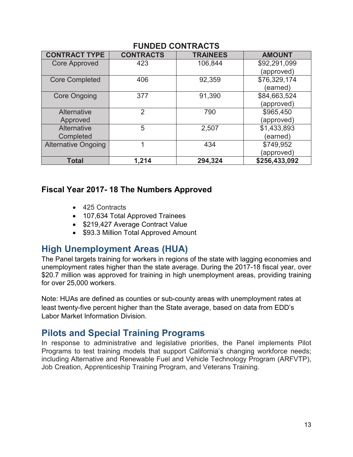| <b>CONTRACT TYPE</b>       | <b>CONTRACTS</b> | <b>TRAINEES</b> | <b>AMOUNT</b> |
|----------------------------|------------------|-----------------|---------------|
| <b>Core Approved</b>       | 423              | 106,844         | \$92,291,099  |
|                            |                  |                 | (approved)    |
| <b>Core Completed</b>      | 406              | 92,359          | \$76,329,174  |
|                            |                  |                 | (earned)      |
| <b>Core Ongoing</b>        | 377              | 91,390          | \$84,663,524  |
|                            |                  |                 | (approved)    |
| Alternative                | $\overline{2}$   | 790             | \$965,450     |
| Approved                   |                  |                 | (approved)    |
| Alternative                | 5                | 2,507           | \$1,433,893   |
| Completed                  |                  |                 | (earned)      |
| <b>Alternative Ongoing</b> |                  | 434             | \$749,952     |
|                            |                  |                 | (approved)    |
| <b>Total</b>               | 1,214            | 294,324         | \$256,433,092 |

#### **FUNDED CONTRACTS**

#### **Fiscal Year 2017- 18 The Numbers Approved**

- 425 Contracts
- 107,634 Total Approved Trainees
- \$219,427 Average Contract Value
- \$93.3 Million Total Approved Amount

### <span id="page-12-0"></span>**High Unemployment Areas (HUA)**

The Panel targets training for workers in regions of the state with lagging economies and unemployment rates higher than the state average. During the 2017-18 fiscal year, over \$20.7 million was approved for training in high unemployment areas, providing training for over 25,000 workers.

Note: HUAs are defined as counties or sub-county areas with unemployment rates at least twenty-five percent higher than the State average, based on data from EDD's Labor Market Information Division.

### <span id="page-12-1"></span>**Pilots and Special Training Programs**

In response to administrative and legislative priorities, the Panel implements Pilot Programs to test training models that support California's changing workforce needs; including Alternative and Renewable Fuel and Vehicle Technology Program (ARFVTP), Job Creation, Apprenticeship Training Program, and Veterans Training.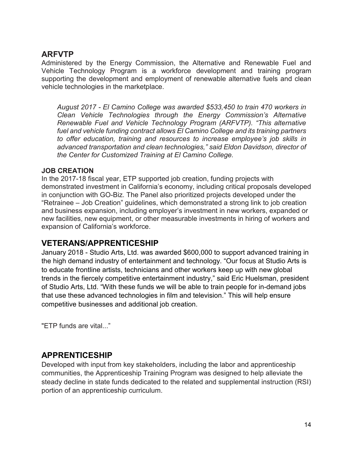#### **ARFVTP**

Administered by the Energy Commission, the Alternative and Renewable Fuel and Vehicle Technology Program is a workforce development and training program supporting the development and employment of renewable alternative fuels and clean vehicle technologies in the marketplace.

*August 2017 - El Camino College was awarded \$533,450 to train 470 workers in Clean Vehicle Technologies through the Energy Commission's Alternative Renewable Fuel and Vehicle Technology Program (ARFVTP). "This alternative fuel and vehicle funding contract allows El Camino College and its training partners to offer education, training and resources to increase employee's job skills in advanced transportation and clean technologies," said Eldon Davidson, director of the Center for Customized Training at El Camino College.* 

#### **JOB CREATION**

In the 2017-18 fiscal year, ETP supported job creation, funding projects with demonstrated investment in California's economy, including critical proposals developed in conjunction with GO-Biz. The Panel also prioritized projects developed under the "Retrainee – Job Creation" guidelines, which demonstrated a strong link to job creation and business expansion, including employer's investment in new workers, expanded or new facilities, new equipment, or other measurable investments in hiring of workers and expansion of California's workforce.

#### **VETERANS/APPRENTICESHIP**

January 2018 - Studio Arts, Ltd. was awarded \$600,000 to support advanced training in the high demand industry of entertainment and technology. "Our focus at Studio Arts is to educate frontline artists, technicians and other workers keep up with new global trends in the fiercely competitive entertainment industry," said Eric Huelsman, president of Studio Arts, Ltd. "With these funds we will be able to train people for in-demand jobs that use these advanced technologies in film and television." This will help ensure competitive businesses and additional job creation.

"ETP funds are vital..."

#### **APPRENTICESHIP**

Developed with input from key stakeholders, including the labor and apprenticeship communities, the Apprenticeship Training Program was designed to help alleviate the steady decline in state funds dedicated to the related and supplemental instruction (RSI) portion of an apprenticeship curriculum.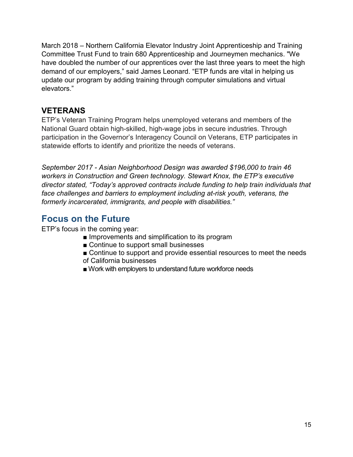March 2018 – Northern California Elevator Industry Joint Apprenticeship and Training Committee Trust Fund to train 680 Apprenticeship and Journeymen mechanics. "We have doubled the number of our apprentices over the last three years to meet the high demand of our employers," said James Leonard. "ETP funds are vital in helping us update our program by adding training through computer simulations and virtual elevators."

#### **VETERANS**

ETP's Veteran Training Program helps unemployed veterans and members of the National Guard obtain high-skilled, high-wage jobs in secure industries. Through participation in the Governor's Interagency Council on Veterans, ETP participates in statewide efforts to identify and prioritize the needs of veterans.

*September 2017 - Asian Neighborhood Design was awarded \$196,000 to train 46 workers in Construction and Green technology. Stewart Knox, the ETP's executive director stated, "Today's approved contracts include funding to help train individuals that*  face challenges and barriers to employment including at-risk youth, veterans, the *formerly incarcerated, immigrants, and people with disabilities."*

### <span id="page-14-0"></span>**Focus on the Future**

ETP's focus in the coming year:

- Improvements and simplification to its program
- Continue to support small businesses
- Continue to support and provide essential resources to meet the needs of California businesses
- Work with employers to understand future workforce needs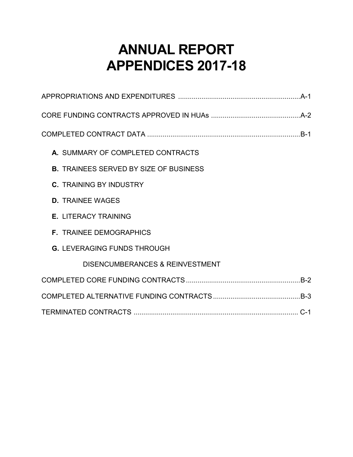# **ANNUAL REPORT APPENDICES 2017-18**

| A. SUMMARY OF COMPLETED CONTRACTS             |
|-----------------------------------------------|
| <b>B. TRAINEES SERVED BY SIZE OF BUSINESS</b> |
| <b>C. TRAINING BY INDUSTRY</b>                |
| <b>D. TRAINEE WAGES</b>                       |
| <b>E. LITERACY TRAINING</b>                   |
| <b>F. TRAINEE DEMOGRAPHICS</b>                |
| <b>G. LEVERAGING FUNDS THROUGH</b>            |
| <b>DISENCUMBERANCES &amp; REINVESTMENT</b>    |
|                                               |
|                                               |
|                                               |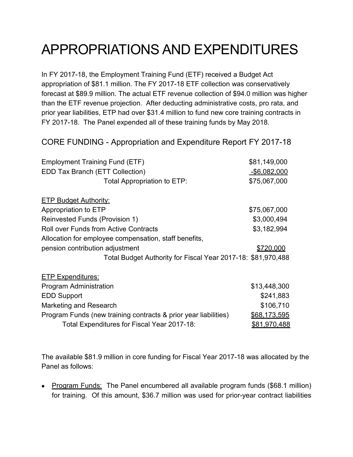# APPROPRIATIONS AND EXPENDITURES

In FY 2017-18, the Employment Training Fund (ETF) received a Budget Act appropriation of \$81.1 million. The FY 2017-18 ETF collection was conservatively forecast at \$89.9 million. The actual ETF revenue collection of \$94.0 million was higher than the ETF revenue projection. After deducting administrative costs, pro rata, and prior year liabilities, ETP had over \$31.4 million to fund new core training contracts in FY 2017-18. The Panel expended all of these training funds by May 2018.

CORE FUNDING - Appropriation and Expenditure Report FY 2017-18

| <b>Employment Training Fund (ETF)</b>                           | \$81,149,000        |
|-----------------------------------------------------------------|---------------------|
| <b>EDD Tax Branch (ETT Collection)</b>                          | <u>-\$6,082,000</u> |
| Total Appropriation to ETP:                                     | \$75,067,000        |
| <b>ETP Budget Authority:</b>                                    |                     |
| Appropriation to ETP                                            | \$75,067,000        |
| Reinvested Funds (Provision 1)                                  | \$3,000,494         |
| <b>Roll over Funds from Active Contracts</b>                    | \$3,182,994         |
| Allocation for employee compensation, staff benefits,           |                     |
| pension contribution adjustment                                 | \$720,000           |
| Total Budget Authority for Fiscal Year 2017-18: \$81,970,488    |                     |
| <b>ETP Expenditures:</b>                                        |                     |
| <b>Program Administration</b>                                   | \$13,448,300        |
| <b>EDD Support</b>                                              | \$241,883           |
| Marketing and Research                                          | \$106,710           |
| Program Funds (new training contracts & prior year liabilities) | \$68,173,595        |
| Total Expenditures for Fiscal Year 2017-18:                     | <u>\$81,970,488</u> |

The available \$81.9 million in core funding for Fiscal Year 2017-18 was allocated by the Panel as follows:

• Program Funds: The Panel encumbered all available program funds (\$68.1 million) for training. Of this amount, \$36.7 million was used for prior-year contract liabilities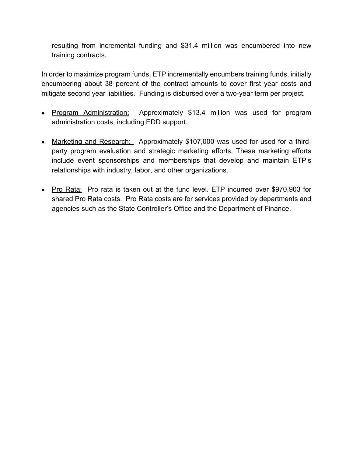resulting from incremental funding and \$31.4 million was encumbered into new training contracts.

In order to maximize program funds, ETP incrementally encumbers training funds, initially encumbering about 38 percent of the contract amounts to cover first year costs and mitigate second year liabilities. Funding is disbursed over a two-year term per project.

- Program Administration: Approximately \$13.4 million was used for program administration costs, including EDD support.
- Marketing and Research: Approximately \$107,000 was used for used for a thirdparty program evaluation and strategic marketing efforts. These marketing efforts include event sponsorships and memberships that develop and maintain ETP's relationships with industry, labor, and other organizations.
- Pro Rata: Pro rata is taken out at the fund level. ETP incurred over \$970,903 for shared Pro Rata costs. Pro Rata costs are for services provided by departments and agencies such as the State Controller's Office and the Department of Finance.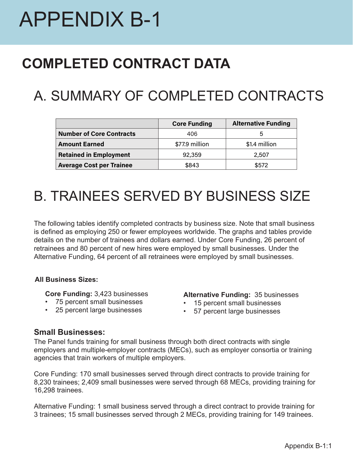# APPENDIX B-1

# **COMPLETED CONTRACT DATA**

# A. SUMMARY OF COMPLETED CONTRACTS

|                                 | <b>Core Funding</b> | <b>Alternative Funding</b> |
|---------------------------------|---------------------|----------------------------|
| <b>Number of Core Contracts</b> | 406                 | b                          |
| <b>Amount Earned</b>            | \$77.9 million      | \$1.4 million              |
| <b>Retained in Employment</b>   | 92,359              | 2,507                      |
| <b>Average Cost per Trainee</b> | \$843               | \$572                      |

# B. TRAINEES SERVED BY BUSINESS SIZE

The following tables identify completed contracts by business size. Note that small business is defined as employing 250 or fewer employees worldwide. The graphs and tables provide details on the number of trainees and dollars earned. Under Core Funding, 26 percent of retrainees and 80 percent of new hires were employed by small businesses. Under the Alternative Funding, 64 percent of all retrainees were employed by small businesses.

#### **All Business Sizes:**

**Core Funding:** 3,423 businesses

- 75 percent small businesses
- 25 percent large businesses

#### **Alternative Funding:** 35 businesses

- 15 percent small businesses
- 57 percent large businesses

#### **Small Businesses:**

The Panel funds training for small business through both direct contracts with single employers and multiple-employer contracts (MECs), such as employer consortia or training agencies that train workers of multiple employers.

Core Funding: 170 small businesses served through direct contracts to provide training for 8,230 trainees; 2,409 small businesses were served through 68 MECs, providing training for 16,298 trainees.

Alternative Funding: 1 small business served through a direct contract to provide training for 3 trainees; 15 small businesses served through 2 MECs, providing training for 149 trainees.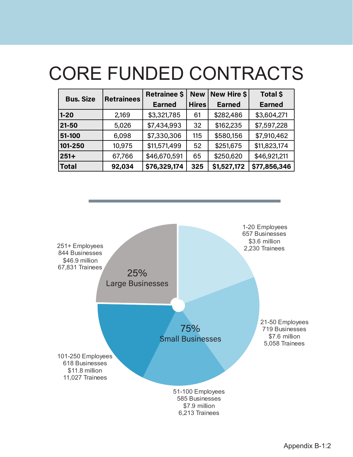# CORE FUNDED CONTRACTS

| <b>Bus. Size</b> | <b>Retrainees</b> | <b>Retrainee \$</b> | New Hire \$<br><b>New</b> |               | <b>Total \$</b> |  |
|------------------|-------------------|---------------------|---------------------------|---------------|-----------------|--|
|                  |                   | <b>Earned</b>       | <b>Hires</b>              | <b>Earned</b> | <b>Earned</b>   |  |
| $1 - 20$         | 2,169             | \$3,321,785         | 61                        | \$282,486     | \$3,604,271     |  |
| 21-50            | 5,026             | \$7,434,993         | 32                        | \$162,235     | \$7,597,228     |  |
| 51-100           | 6,098             | \$7,330,306         | 115                       | \$580,156     | \$7,910,462     |  |
| 101-250          | 10,975            | \$11,571,499        | 52                        | \$251,675     | \$11,823,174    |  |
| $251+$           | 67,766            | \$46,670,591        | 65                        | \$250,620     | \$46,921,211    |  |
| <b>Total</b>     | 92,034            | \$76,329,174        | 325                       | \$1,527,172   | \$77,856,346    |  |

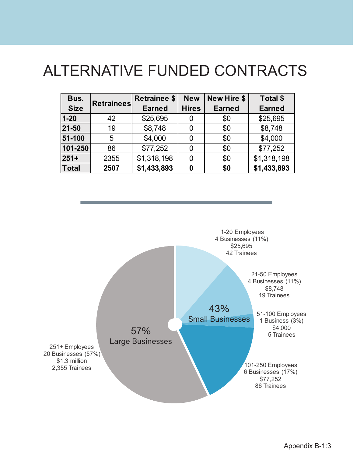# ALTERNATIVE FUNDED CONTRACTS

| Bus.        | <b>Retrainees</b> | <b>Retrainee \$</b> | <b>New</b>   | <b>New Hire \$</b> | Total \$      |
|-------------|-------------------|---------------------|--------------|--------------------|---------------|
| <b>Size</b> |                   | <b>Earned</b>       | <b>Hires</b> | <b>Earned</b>      | <b>Earned</b> |
| $1 - 20$    | 42                | \$25,695            |              | \$0                | \$25,695      |
| 21-50       | 19                | \$8,748             |              | \$0                | \$8,748       |
| 51-100      | 5                 | \$4,000             |              | \$0                | \$4,000       |
| 101-250     | 86                | \$77,252            |              | \$0                | \$77,252      |
| $251+$      | 2355              | \$1,318,198         |              | \$0                | \$1,318,198   |
| Total       | 2507              | \$1,433,893         | Ω            | \$0                | \$1,433,893   |

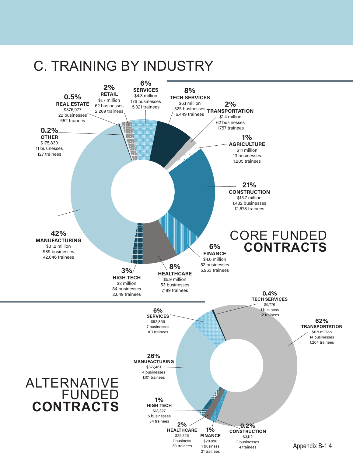# C. TRAINING BY INDUSTRY

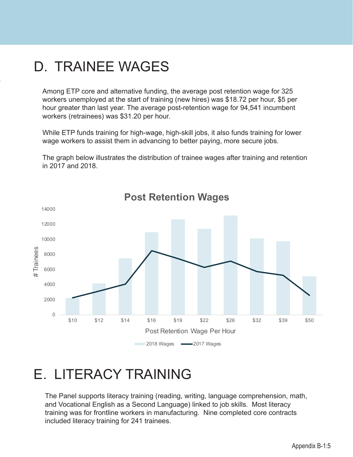# D. TRAINEE WAGES

Among ETP core and alternative funding, the average post retention wage for 325 workers unemployed at the start of training (new hires) was \$18.72 per hour, \$5 per hour greater than last year. The average post-retention wage for 94,541 incumbent workers (retrainees) was \$31.20 per hour.

While ETP funds training for high-wage, high-skill jobs, it also funds training for lower wage workers to assist them in advancing to better paying, more secure jobs.

The graph below illustrates the distribution of trainee wages after training and retention in 2017 and 2018.



**Post Retention Wages**

# E. LITERACY TRAINING

The Panel supports literacy training (reading, writing, language comprehension, math, and Vocational English as a Second Language) linked to job skills. Most literacy training was for frontline workers in manufacturing. Nine completed core contracts included literacy training for 241 trainees.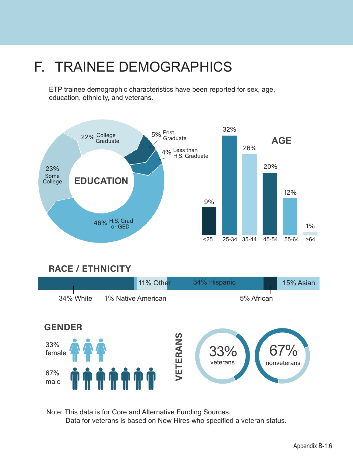# F. TRAINEE DEMOGRAPHICS

ETP trainee demographic characteristics have been reported for sex, age, education, ethnicity, and veterans.



### **RACE / ETHNICITY**



Note: This data is for Core and Alternative Funding Sources. Data for veterans is based on New Hires who specified a veteran status.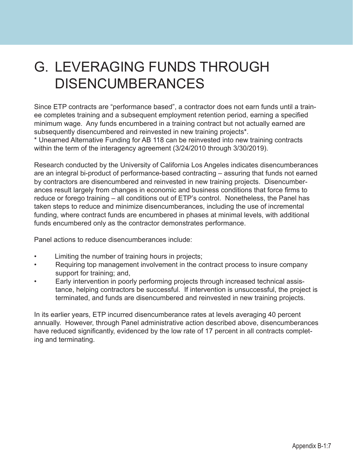# G. LEVERAGING FUNDS THROUGH DISENCUMBERANCES

Since ETP contracts are "performance based", a contractor does not earn funds until a trainee completes training and a subsequent employment retention period, earning a specified minimum wage. Any funds encumbered in a training contract but not actually earned are subsequently disencumbered and reinvested in new training projects\*.

\* Unearned Alternative Funding for AB 118 can be reinvested into new training contracts within the term of the interagency agreement (3/24/2010 through 3/30/2019).

Research conducted by the University of California Los Angeles indicates disencumberances are an integral bi-product of performance-based contracting – assuring that funds not earned by contractors are disencumbered and reinvested in new training projects. Disencumberances result largely from changes in economic and business conditions that force firms to reduce or forego training – all conditions out of ETP's control. Nonetheless, the Panel has taken steps to reduce and minimize disencumberances, including the use of incremental funding, where contract funds are encumbered in phases at minimal levels, with additional funds encumbered only as the contractor demonstrates performance.

Panel actions to reduce disencumberances include:

- Limiting the number of training hours in projects;
- Requiring top management involvement in the contract process to insure company support for training; and,
- Early intervention in poorly performing projects through increased technical assistance, helping contractors be successful. If intervention is unsuccessful, the project is terminated, and funds are disencumbered and reinvested in new training projects.

In its earlier years, ETP incurred disencumberance rates at levels averaging 40 percent annually. However, through Panel administrative action described above, disencumberances have reduced significantly, evidenced by the low rate of 17 percent in all contracts completing and terminating.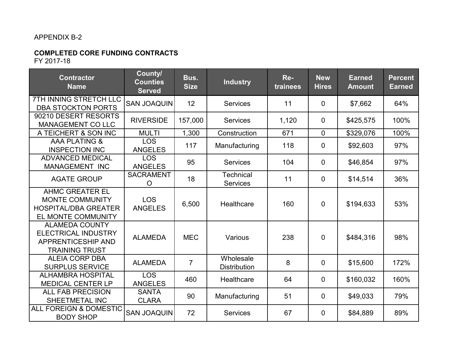#### APPENDIX B-2

#### **COMPLETED CORE FUNDING CONTRACTS** FY 2017-18

| <b>Contractor</b><br><b>Name</b>                                                                             | County/<br><b>Counties</b><br><b>Served</b> | Bus.<br><b>Size</b> | <b>Industry</b>                  | Re-<br>trainees | <b>New</b><br><b>Hires</b> | <b>Earned</b><br><b>Amount</b> | <b>Percent</b><br><b>Earned</b> |
|--------------------------------------------------------------------------------------------------------------|---------------------------------------------|---------------------|----------------------------------|-----------------|----------------------------|--------------------------------|---------------------------------|
| 7TH INNING STRETCH LLC<br><b>DBA STOCKTON PORTS</b>                                                          | <b>SAN JOAQUIN</b>                          | 12                  | <b>Services</b>                  | 11              | $\overline{0}$             | \$7,662                        | 64%                             |
| 90210 DESERT RESORTS<br><b>MANAGEMENT CO LLC</b>                                                             | <b>RIVERSIDE</b>                            | 157,000             | <b>Services</b>                  | 1,120           | $\overline{0}$             | \$425,575                      | 100%                            |
| A TEICHERT & SON INC                                                                                         | <b>MULTI</b>                                | 1,300               | Construction                     | 671             | $\mathbf 0$                | \$329,076                      | 100%                            |
| <b>AAA PLATING &amp;</b><br><b>INSPECTION INC</b>                                                            | <b>LOS</b><br><b>ANGELES</b>                | 117                 | Manufacturing                    | 118             | $\overline{0}$             | \$92,603                       | 97%                             |
| <b>ADVANCED MEDICAL</b><br><b>MANAGEMENT INC</b>                                                             | <b>LOS</b><br><b>ANGELES</b>                | 95                  | <b>Services</b>                  | 104             | $\overline{0}$             | \$46,854                       | 97%                             |
| <b>AGATE GROUP</b>                                                                                           | <b>SACRAMENT</b><br>O                       | 18                  | Technical<br><b>Services</b>     | 11              | $\overline{0}$             | \$14,514                       | 36%                             |
| <b>AHMC GREATER EL</b><br><b>MONTE COMMUNITY</b><br><b>HOSPITAL/DBA GREATER</b><br><b>EL MONTE COMMUNITY</b> | <b>LOS</b><br><b>ANGELES</b>                | 6,500               | Healthcare                       | 160             | $\mathbf 0$                | \$194,633                      | 53%                             |
| <b>ALAMEDA COUNTY</b><br><b>ELECTRICAL INDUSTRY</b><br><b>APPRENTICESHIP AND</b><br><b>TRAINING TRUST</b>    | <b>ALAMEDA</b>                              | <b>MEC</b>          | Various                          | 238             | $\overline{0}$             | \$484,316                      | 98%                             |
| <b>ALEIA CORP DBA</b><br><b>SURPLUS SERVICE</b>                                                              | <b>ALAMEDA</b>                              | $\overline{7}$      | Wholesale<br><b>Distribution</b> | 8               | 0                          | \$15,600                       | 172%                            |
| <b>ALHAMBRA HOSPITAL</b><br><b>MEDICAL CENTER LP</b>                                                         | <b>LOS</b><br><b>ANGELES</b>                | 460                 | Healthcare                       | 64              | $\mathbf 0$                | \$160,032                      | 160%                            |
| <b>ALL FAB PRECISION</b><br>SHEETMETAL INC                                                                   | <b>SANTA</b><br><b>CLARA</b>                | 90                  | Manufacturing                    | 51              | $\mathbf 0$                | \$49,033                       | 79%                             |
| <b>ALL FOREIGN &amp; DOMESTIC</b><br><b>BODY SHOP</b>                                                        | <b>SAN JOAQUIN</b>                          | 72                  | <b>Services</b>                  | 67              | 0                          | \$84,889                       | 89%                             |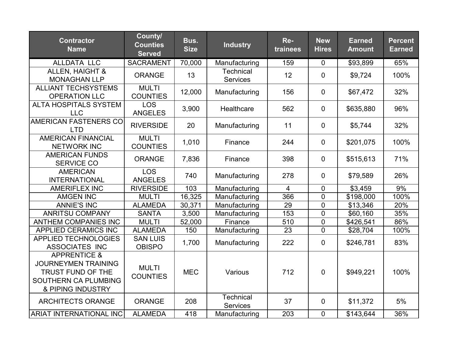| <b>Contractor</b><br><b>Name</b>                                                                                        | County/<br><b>Counties</b><br><b>Served</b> | Bus.<br><b>Size</b> | <b>Industry</b>                     | Re-<br>trainees | <b>New</b><br><b>Hires</b> | <b>Earned</b><br><b>Amount</b> | <b>Percent</b><br><b>Earned</b> |
|-------------------------------------------------------------------------------------------------------------------------|---------------------------------------------|---------------------|-------------------------------------|-----------------|----------------------------|--------------------------------|---------------------------------|
| <b>ALLDATA LLC</b>                                                                                                      | <b>SACRAMENT</b>                            | 70,000              | Manufacturing                       | 159             | $\mathbf 0$                | \$93,899                       | 65%                             |
| <b>ALLEN, HAIGHT &amp;</b><br><b>MONAGHAN LLP</b>                                                                       | <b>ORANGE</b>                               | 13                  | <b>Technical</b><br><b>Services</b> | 12              | $\mathbf 0$                | \$9,724                        | 100%                            |
| <b>ALLIANT TECHSYSTEMS</b><br><b>OPERATION LLC</b>                                                                      | <b>MULTI</b><br><b>COUNTIES</b>             | 12,000              | Manufacturing                       | 156             | $\mathbf 0$                | \$67,472                       | 32%                             |
| <b>ALTA HOSPITALS SYSTEM</b><br><b>LLC</b>                                                                              | <b>LOS</b><br><b>ANGELES</b>                | 3,900               | Healthcare                          | 562             | $\mathbf 0$                | \$635,880                      | 96%                             |
| <b>AMERICAN FASTENERS CO</b><br><b>LTD</b>                                                                              | <b>RIVERSIDE</b>                            | 20                  | Manufacturing                       | 11              | $\mathbf 0$                | \$5,744                        | 32%                             |
| <b>AMERICAN FINANCIAL</b><br><b>NETWORK INC</b>                                                                         | <b>MULTI</b><br><b>COUNTIES</b>             | 1,010               | Finance                             | 244             | $\mathbf 0$                | \$201,075                      | 100%                            |
| <b>AMERICAN FUNDS</b><br><b>SERVICE CO</b>                                                                              | <b>ORANGE</b>                               | 7,836               | Finance                             | 398             | $\mathbf 0$                | \$515,613                      | 71%                             |
| <b>AMERICAN</b><br><b>INTERNATIONAL</b>                                                                                 | <b>LOS</b><br><b>ANGELES</b>                | 740                 | Manufacturing                       | 278             | $\mathbf 0$                | \$79,589                       | 26%                             |
| <b>AMERIFLEX INC</b>                                                                                                    | <b>RIVERSIDE</b>                            | 103                 | Manufacturing                       | $\overline{4}$  | $\mathbf 0$                | \$3,459                        | 9%                              |
| <b>AMGEN INC</b>                                                                                                        | <b>MULTI</b>                                | 16,325              | Manufacturing                       | 366             | $\mathbf 0$                | \$198,000                      | 100%                            |
| <b>ANNIE'S INC</b>                                                                                                      | <b>ALAMEDA</b>                              | 30,371              | Manufacturing                       | 29              | $\mathbf 0$                | \$13,346                       | 20%                             |
| <b>ANRITSU COMPANY</b>                                                                                                  | <b>SANTA</b>                                | 3,500               | Manufacturing                       | 153             | $\mathbf 0$                | \$60,160                       | 35%                             |
| <b>ANTHEM COMPANIES INC</b>                                                                                             | <b>MULTI</b>                                | 52,000              | Finance                             | 510             | $\mathbf 0$                | \$426,541                      | 86%                             |
| <b>APPLIED CERAMICS INC</b>                                                                                             | <b>ALAMEDA</b>                              | 150                 | Manufacturing                       | 23              | $\overline{0}$             | \$28,704                       | 100%                            |
| <b>APPLIED TECHNOLOGIES</b><br><b>ASSOCIATES INC</b>                                                                    | <b>SAN LUIS</b><br><b>OBISPO</b>            | 1,700               | Manufacturing                       | 222             | $\mathbf 0$                | \$246,781                      | 83%                             |
| <b>APPRENTICE &amp;</b><br><b>JOURNEYMEN TRAINING</b><br>TRUST FUND OF THE<br>SOUTHERN CA PLUMBING<br>& PIPING INDUSTRY | <b>MULTI</b><br><b>COUNTIES</b>             | <b>MEC</b>          | Various                             | 712             | $\overline{0}$             | \$949,221                      | 100%                            |
| <b>ARCHITECTS ORANGE</b>                                                                                                | <b>ORANGE</b>                               | 208                 | Technical<br><b>Services</b>        | 37              | $\mathbf 0$                | \$11,372                       | 5%                              |
| <b>ARIAT INTERNATIONAL INC</b>                                                                                          | <b>ALAMEDA</b>                              | 418                 | Manufacturing                       | 203             | $\mathbf 0$                | \$143,644                      | 36%                             |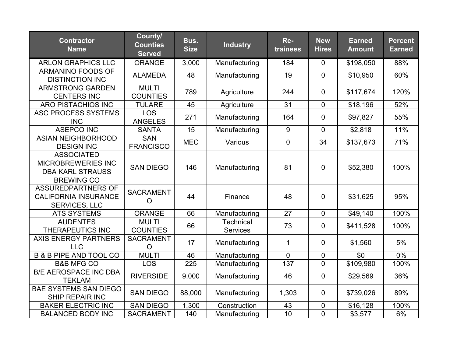| <b>Contractor</b><br><b>Name</b>                                                               | County/<br><b>Counties</b><br><b>Served</b> | Bus.<br><b>Size</b> | <b>Industry</b>                     | Re-<br>trainees | <b>New</b><br><b>Hires</b> | <b>Earned</b><br><b>Amount</b> | <b>Percent</b><br><b>Earned</b> |
|------------------------------------------------------------------------------------------------|---------------------------------------------|---------------------|-------------------------------------|-----------------|----------------------------|--------------------------------|---------------------------------|
| <b>ARLON GRAPHICS LLC</b>                                                                      | <b>ORANGE</b>                               | 3,000               | Manufacturing                       | 184             | $\mathbf 0$                | \$198,050                      | 88%                             |
| <b>ARMANINO FOODS OF</b><br><b>DISTINCTION INC</b>                                             | <b>ALAMEDA</b>                              | 48                  | Manufacturing                       | 19              | $\mathbf 0$                | \$10,950                       | 60%                             |
| <b>ARMSTRONG GARDEN</b><br><b>CENTERS INC</b>                                                  | <b>MULTI</b><br><b>COUNTIES</b>             | 789                 | Agriculture                         | 244             | $\overline{0}$             | \$117,674                      | 120%                            |
| <b>ARO PISTACHIOS INC</b>                                                                      | <b>TULARE</b>                               | 45                  | Agriculture                         | 31              | $\overline{0}$             | \$18,196                       | 52%                             |
| <b>ASC PROCESS SYSTEMS</b><br><b>INC</b>                                                       | <b>LOS</b><br><b>ANGELES</b>                | 271                 | Manufacturing                       | 164             | $\mathbf 0$                | \$97,827                       | 55%                             |
| <b>ASEPCO INC</b>                                                                              | <b>SANTA</b>                                | $\overline{15}$     | Manufacturing                       | $\overline{9}$  | $\overline{0}$             | \$2,818                        | 11%                             |
| <b>ASIAN NEIGHBORHOOD</b><br><b>DESIGN INC</b>                                                 | <b>SAN</b><br><b>FRANCISCO</b>              | <b>MEC</b>          | Various                             | $\mathbf 0$     | 34                         | \$137,673                      | 71%                             |
| <b>ASSOCIATED</b><br><b>MICROBREWERIES INC</b><br><b>DBA KARL STRAUSS</b><br><b>BREWING CO</b> | <b>SAN DIEGO</b>                            | 146                 | Manufacturing                       | 81              | $\overline{0}$             | \$52,380                       | 100%                            |
| <b>ASSUREDPARTNERS OF</b><br><b>CALIFORNIA INSURANCE</b><br>SERVICES, LLC                      | <b>SACRAMENT</b><br>$\overline{O}$          | 44                  | Finance                             | 48              | $\overline{0}$             | \$31,625                       | 95%                             |
| <b>ATS SYSTEMS</b>                                                                             | <b>ORANGE</b>                               | 66                  | Manufacturing                       | $\overline{27}$ | $\overline{0}$             | \$49,140                       | 100%                            |
| <b>AUDENTES</b><br><b>THERAPEUTICS INC</b>                                                     | <b>MULTI</b><br><b>COUNTIES</b>             | 66                  | <b>Technical</b><br><b>Services</b> | 73              | $\mathbf 0$                | \$411,528                      | 100%                            |
| <b>AXIS ENERGY PARTNERS</b><br><b>LLC</b>                                                      | <b>SACRAMENT</b><br>$\circ$                 | 17                  | Manufacturing                       | 1               | $\overline{0}$             | \$1,560                        | 5%                              |
| <b>B &amp; B PIPE AND TOOL CO</b>                                                              | <b>MULTI</b>                                | 46                  | Manufacturing                       | $\mathbf 0$     | $\boldsymbol{0}$           | \$0                            | 0%                              |
| <b>B&amp;B MFG CO</b>                                                                          | <b>LOS</b>                                  | 225                 | Manufacturing                       | 137             | $\mathbf 0$                | \$109,980                      | 100%                            |
| <b>B/E AEROSPACE INC DBA</b><br><b>TEKLAM</b>                                                  | <b>RIVERSIDE</b>                            | 9,000               | Manufacturing                       | 46              | $\mathbf 0$                | \$29,569                       | 36%                             |
| <b>BAE SYSTEMS SAN DIEGO</b><br><b>SHIP REPAIR INC</b>                                         | <b>SAN DIEGO</b>                            | 88,000              | Manufacturing                       | 1,303           | $\mathbf 0$                | \$739,026                      | 89%                             |
| <b>BAKER ELECTRIC INC</b>                                                                      | <b>SAN DIEGO</b>                            | 1,300               | Construction                        | 43              | 0                          | \$16,128                       | 100%                            |
| <b>BALANCED BODY INC</b>                                                                       | <b>SACRAMENT</b>                            | 140                 | Manufacturing                       | $\overline{10}$ | $\overline{0}$             | \$3,577                        | 6%                              |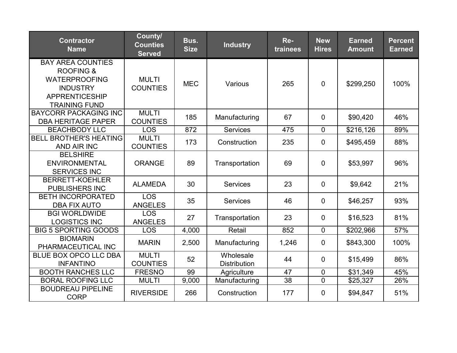| <b>Contractor</b><br><b>Name</b>                                                                                                             | County/<br><b>Counties</b><br><b>Served</b> | Bus.<br><b>Size</b> | <b>Industry</b>                  | Re-<br>trainees | <b>New</b><br><b>Hires</b> | <b>Earned</b><br><b>Amount</b> | <b>Percent</b><br><b>Earned</b> |
|----------------------------------------------------------------------------------------------------------------------------------------------|---------------------------------------------|---------------------|----------------------------------|-----------------|----------------------------|--------------------------------|---------------------------------|
| <b>BAY AREA COUNTIES</b><br><b>ROOFING &amp;</b><br><b>WATERPROOFING</b><br><b>INDUSTRY</b><br><b>APPRENTICESHIP</b><br><b>TRAINING FUND</b> | <b>MULTI</b><br><b>COUNTIES</b>             | <b>MEC</b>          | Various                          | 265             | $\overline{0}$             | \$299,250                      | 100%                            |
| <b>BAYCORR PACKAGING INC</b><br><b>DBA HERITAGE PAPER</b>                                                                                    | <b>MULTI</b><br><b>COUNTIES</b>             | 185                 | Manufacturing                    | 67              | $\overline{0}$             | \$90,420                       | 46%                             |
| <b>BEACHBODY LLC</b>                                                                                                                         | <b>LOS</b>                                  | 872                 | <b>Services</b>                  | 475             | $\overline{0}$             | \$216,126                      | 89%                             |
| <b>BELL BROTHER'S HEATING</b><br><b>AND AIR INC</b>                                                                                          | <b>MULTI</b><br><b>COUNTIES</b>             | 173                 | Construction                     | 235             | $\mathbf 0$                | \$495,459                      | 88%                             |
| <b>BELSHIRE</b><br><b>ENVIRONMENTAL</b><br><b>SERVICES INC</b>                                                                               | <b>ORANGE</b>                               | 89                  | Transportation                   | 69              | $\overline{0}$             | \$53,997                       | 96%                             |
| <b>BERRETT-KOEHLER</b><br><b>PUBLISHERS INC</b>                                                                                              | <b>ALAMEDA</b>                              | 30                  | <b>Services</b>                  | 23              | $\mathbf 0$                | \$9,642                        | 21%                             |
| <b>BETH INCORPORATED</b><br><b>DBA FIX AUTO</b>                                                                                              | <b>LOS</b><br><b>ANGELES</b>                | 35                  | <b>Services</b>                  | 46              | $\overline{0}$             | \$46,257                       | 93%                             |
| <b>BGI WORLDWIDE</b><br><b>LOGISTICS INC</b>                                                                                                 | <b>LOS</b><br><b>ANGELES</b>                | 27                  | Transportation                   | 23              | $\mathbf 0$                | \$16,523                       | 81%                             |
| <b>BIG 5 SPORTING GOODS</b>                                                                                                                  | <b>LOS</b>                                  | 4,000               | Retail                           | 852             | $\overline{0}$             | \$202,966                      | 57%                             |
| <b>BIOMARIN</b><br>PHARMACEUTICAL INC                                                                                                        | <b>MARIN</b>                                | 2,500               | Manufacturing                    | 1,246           | $\mathbf 0$                | \$843,300                      | 100%                            |
| BLUE BOX OPCO LLC DBA<br><b>INFANTINO</b>                                                                                                    | <b>MULTI</b><br><b>COUNTIES</b>             | 52                  | Wholesale<br><b>Distribution</b> | 44              | $\mathbf 0$                | \$15,499                       | 86%                             |
| <b>BOOTH RANCHES LLC</b>                                                                                                                     | <b>FRESNO</b>                               | 99                  | Agriculture                      | 47              | $\mathbf 0$                | \$31,349                       | 45%                             |
| <b>BORAL ROOFING LLC</b>                                                                                                                     | <b>MULTI</b>                                | 9,000               | Manufacturing                    | 38              | $\overline{0}$             | \$25,327                       | 26%                             |
| <b>BOUDREAU PIPELINE</b><br><b>CORP</b>                                                                                                      | <b>RIVERSIDE</b>                            | 266                 | Construction                     | 177             | $\mathbf 0$                | \$94,847                       | 51%                             |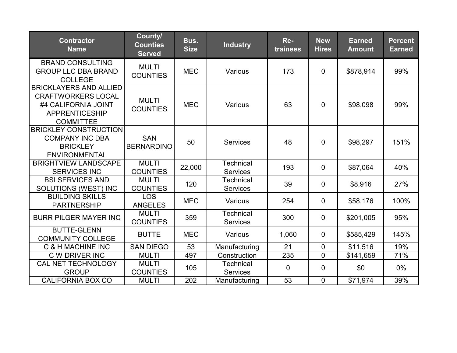| <b>Contractor</b><br><b>Name</b>                                                                                               | County/<br><b>Counties</b><br><b>Served</b> | Bus.<br><b>Size</b> | <b>Industry</b>                     | Re-<br>trainees | <b>New</b><br><b>Hires</b> | <b>Earned</b><br><b>Amount</b> | <b>Percent</b><br><b>Earned</b> |
|--------------------------------------------------------------------------------------------------------------------------------|---------------------------------------------|---------------------|-------------------------------------|-----------------|----------------------------|--------------------------------|---------------------------------|
| <b>BRAND CONSULTING</b><br><b>GROUP LLC DBA BRAND</b><br><b>COLLEGE</b>                                                        | <b>MULTI</b><br><b>COUNTIES</b>             | <b>MEC</b>          | Various                             | 173             | $\overline{0}$             | \$878,914                      | 99%                             |
| <b>BRICKLAYERS AND ALLIED</b><br><b>CRAFTWORKERS LOCAL</b><br>#4 CALIFORNIA JOINT<br><b>APPRENTICESHIP</b><br><b>COMMITTEE</b> | <b>MULTI</b><br><b>COUNTIES</b>             | <b>MEC</b>          | Various                             | 63              | $\overline{0}$             | \$98,098                       | 99%                             |
| <b>BRICKLEY CONSTRUCTION</b><br><b>COMPANY INC DBA</b><br><b>BRICKLEY</b><br><b>ENVIRONMENTAL</b>                              | <b>SAN</b><br><b>BERNARDINO</b>             | 50                  | <b>Services</b>                     | 48              | $\mathbf 0$                | \$98,297                       | 151%                            |
| <b>BRIGHTVIEW LANDSCAPE</b><br><b>SERVICES INC</b>                                                                             | <b>MULTI</b><br><b>COUNTIES</b>             | 22,000              | Technical<br><b>Services</b>        | 193             | $\overline{0}$             | \$87,064                       | 40%                             |
| <b>BSI SERVICES AND</b><br>SOLUTIONS (WEST) INC                                                                                | <b>MULTI</b><br><b>COUNTIES</b>             | 120                 | <b>Technical</b><br><b>Services</b> | 39              | $\mathbf 0$                | \$8,916                        | 27%                             |
| <b>BUILDING SKILLS</b><br><b>PARTNERSHIP</b>                                                                                   | <b>LOS</b><br><b>ANGELES</b>                | <b>MEC</b>          | Various                             | 254             | $\mathbf 0$                | \$58,176                       | 100%                            |
| <b>BURR PILGER MAYER INC</b>                                                                                                   | <b>MULTI</b><br><b>COUNTIES</b>             | 359                 | Technical<br><b>Services</b>        | 300             | $\mathbf 0$                | \$201,005                      | 95%                             |
| <b>BUTTE-GLENN</b><br><b>COMMUNITY COLLEGE</b>                                                                                 | <b>BUTTE</b>                                | <b>MEC</b>          | Various                             | 1,060           | $\mathbf 0$                | \$585,429                      | 145%                            |
| <b>C &amp; H MACHINE INC</b>                                                                                                   | <b>SAN DIEGO</b>                            | 53                  | Manufacturing                       | 21              | $\mathbf 0$                | \$11,516                       | 19%                             |
| C W DRIVER INC                                                                                                                 | <b>MULTI</b>                                | 497                 | Construction                        | 235             | $\mathbf 0$                | \$141,659                      | 71%                             |
| CAL NET TECHNOLOGY<br><b>GROUP</b>                                                                                             | <b>MULTI</b><br><b>COUNTIES</b>             | 105                 | <b>Technical</b><br>Services        | $\mathbf 0$     | $\mathbf 0$                | \$0                            | 0%                              |
| <b>CALIFORNIA BOX CO</b>                                                                                                       | <b>MULTI</b>                                | 202                 | Manufacturing                       | 53              | $\mathbf 0$                | \$71,974                       | 39%                             |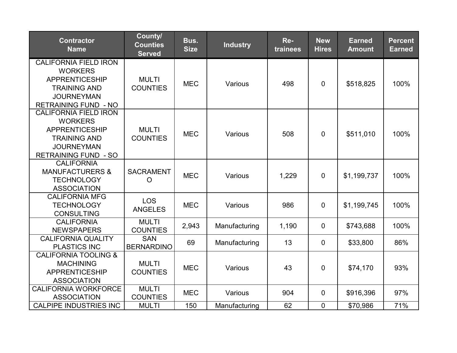| <b>Contractor</b><br><b>Name</b>                                                                                                                   | County/<br><b>Counties</b><br><b>Served</b> | Bus.<br><b>Size</b> | <b>Industry</b> | Re-<br>trainees | <b>New</b><br><b>Hires</b> | <b>Earned</b><br><b>Amount</b> | <b>Percent</b><br><b>Earned</b> |
|----------------------------------------------------------------------------------------------------------------------------------------------------|---------------------------------------------|---------------------|-----------------|-----------------|----------------------------|--------------------------------|---------------------------------|
| <b>CALIFORNIA FIELD IRON</b><br><b>WORKERS</b><br><b>APPRENTICESHIP</b><br><b>TRAINING AND</b><br><b>JOURNEYMAN</b><br><b>RETRAINING FUND - NO</b> | <b>MULTI</b><br><b>COUNTIES</b>             | <b>MEC</b>          | Various         | 498             | $\overline{0}$             | \$518,825                      | 100%                            |
| <b>CALIFORNIA FIELD IRON</b><br><b>WORKERS</b><br><b>APPRENTICESHIP</b><br><b>TRAINING AND</b><br><b>JOURNEYMAN</b><br><b>RETRAINING FUND - SO</b> | <b>MULTI</b><br><b>COUNTIES</b>             | <b>MEC</b>          | Various         | 508             | $\overline{0}$             | \$511,010                      | 100%                            |
| <b>CALIFORNIA</b><br><b>MANUFACTURERS &amp;</b><br><b>TECHNOLOGY</b><br><b>ASSOCIATION</b>                                                         | <b>SACRAMENT</b><br>O                       | <b>MEC</b>          | Various         | 1,229           | $\mathbf 0$                | \$1,199,737                    | 100%                            |
| <b>CALIFORNIA MFG</b><br><b>TECHNOLOGY</b><br><b>CONSULTING</b>                                                                                    | <b>LOS</b><br><b>ANGELES</b>                | <b>MEC</b>          | Various         | 986             | $\mathbf 0$                | \$1,199,745                    | 100%                            |
| <b>CALIFORNIA</b><br><b>NEWSPAPERS</b>                                                                                                             | <b>MULTI</b><br><b>COUNTIES</b>             | 2,943               | Manufacturing   | 1,190           | $\mathbf 0$                | \$743,688                      | 100%                            |
| <b>CALIFORNIA QUALITY</b><br><b>PLASTICS INC</b>                                                                                                   | <b>SAN</b><br><b>BERNARDINO</b>             | 69                  | Manufacturing   | 13              | $\overline{0}$             | \$33,800                       | 86%                             |
| <b>CALIFORNIA TOOLING &amp;</b><br><b>MACHINING</b><br><b>APPRENTICESHIP</b><br><b>ASSOCIATION</b>                                                 | <b>MULTI</b><br><b>COUNTIES</b>             | <b>MEC</b>          | Various         | 43              | $\mathbf 0$                | \$74,170                       | 93%                             |
| <b>CALIFORNIA WORKFORCE</b><br><b>ASSOCIATION</b>                                                                                                  | <b>MULTI</b><br><b>COUNTIES</b>             | <b>MEC</b>          | Various         | 904             | 0                          | \$916,396                      | 97%                             |
| <b>CALPIPE INDUSTRIES INC</b>                                                                                                                      | <b>MULTI</b>                                | 150                 | Manufacturing   | 62              | $\mathbf 0$                | \$70,986                       | 71%                             |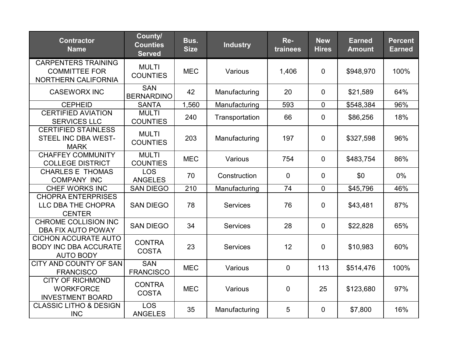| <b>Contractor</b><br><b>Name</b>                                                | County/<br><b>Counties</b><br><b>Served</b> | Bus.<br><b>Size</b> | <b>Industry</b> | Re-<br>trainees | <b>New</b><br><b>Hires</b> | <b>Earned</b><br><b>Amount</b> | <b>Percent</b><br><b>Earned</b> |
|---------------------------------------------------------------------------------|---------------------------------------------|---------------------|-----------------|-----------------|----------------------------|--------------------------------|---------------------------------|
| <b>CARPENTERS TRAINING</b><br><b>COMMITTEE FOR</b><br>NORTHERN CALIFORNIA       | <b>MULTI</b><br><b>COUNTIES</b>             | <b>MEC</b>          | Various         | 1,406           | $\mathbf 0$                | \$948,970                      | 100%                            |
| <b>CASEWORX INC</b>                                                             | <b>SAN</b><br><b>BERNARDINO</b>             | 42                  | Manufacturing   | 20              | $\mathbf 0$                | \$21,589                       | 64%                             |
| <b>CEPHEID</b>                                                                  | <b>SANTA</b>                                | 1,560               | Manufacturing   | 593             | $\mathbf 0$                | \$548,384                      | 96%                             |
| <b>CERTIFIED AVIATION</b><br><b>SERVICES LLC</b>                                | <b>MULTI</b><br><b>COUNTIES</b>             | 240                 | Transportation  | 66              | $\mathbf 0$                | \$86,256                       | 18%                             |
| <b>CERTIFIED STAINLESS</b><br><b>STEEL INC DBA WEST-</b><br><b>MARK</b>         | <b>MULTI</b><br><b>COUNTIES</b>             | 203                 | Manufacturing   | 197             | $\mathbf 0$                | \$327,598                      | 96%                             |
| <b>CHAFFEY COMMUNITY</b><br><b>COLLEGE DISTRICT</b>                             | <b>MULTI</b><br><b>COUNTIES</b>             | <b>MEC</b>          | Various         | 754             | $\overline{0}$             | \$483,754                      | 86%                             |
| <b>CHARLES E THOMAS</b><br><b>COMPANY INC</b>                                   | <b>LOS</b><br><b>ANGELES</b>                | 70                  | Construction    | 0               | $\mathbf 0$                | \$0                            | $0\%$                           |
| <b>CHEF WORKS INC</b>                                                           | <b>SAN DIEGO</b>                            | 210                 | Manufacturing   | 74              | $\mathbf{0}$               | \$45,796                       | 46%                             |
| <b>CHOPRA ENTERPRISES</b><br>LLC DBA THE CHOPRA<br><b>CENTER</b>                | <b>SAN DIEGO</b>                            | 78                  | Services        | 76              | $\mathbf 0$                | \$43,481                       | 87%                             |
| <b>CHROME COLLISION INC</b><br>DBA FIX AUTO POWAY                               | <b>SAN DIEGO</b>                            | 34                  | Services        | 28              | 0                          | \$22,828                       | 65%                             |
| <b>CICHON ACCURATE AUTO</b><br><b>BODY INC DBA ACCURATE</b><br><b>AUTO BODY</b> | <b>CONTRA</b><br><b>COSTA</b>               | 23                  | <b>Services</b> | 12              | $\mathbf 0$                | \$10,983                       | 60%                             |
| CITY AND COUNTY OF SAN<br><b>FRANCISCO</b>                                      | <b>SAN</b><br><b>FRANCISCO</b>              | <b>MEC</b>          | Various         | $\overline{0}$  | 113                        | \$514,476                      | 100%                            |
| <b>CITY OF RICHMOND</b><br><b>WORKFORCE</b><br><b>INVESTMENT BOARD</b>          | <b>CONTRA</b><br><b>COSTA</b>               | <b>MEC</b>          | Various         | 0               | 25                         | \$123,680                      | 97%                             |
| <b>CLASSIC LITHO &amp; DESIGN</b><br><b>INC</b>                                 | <b>LOS</b><br><b>ANGELES</b>                | 35                  | Manufacturing   | 5               | $\overline{0}$             | \$7,800                        | 16%                             |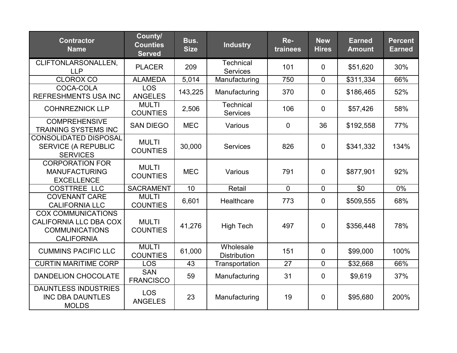| <b>Contractor</b><br><b>Name</b>                                                                  | County/<br><b>Counties</b><br><b>Served</b> | Bus.<br><b>Size</b> | <b>Industry</b>                     | Re-<br>trainees | <b>New</b><br><b>Hires</b> | <b>Earned</b><br><b>Amount</b> | <b>Percent</b><br><b>Earned</b> |
|---------------------------------------------------------------------------------------------------|---------------------------------------------|---------------------|-------------------------------------|-----------------|----------------------------|--------------------------------|---------------------------------|
| CLIFTONLARSONALLEN,<br><b>LLP</b>                                                                 | <b>PLACER</b>                               | 209                 | <b>Technical</b><br><b>Services</b> | 101             | $\overline{0}$             | \$51,620                       | 30%                             |
| <b>CLOROX CO</b>                                                                                  | <b>ALAMEDA</b>                              | 5,014               | Manufacturing                       | 750             | $\overline{0}$             | \$311,334                      | 66%                             |
| COCA-COLA<br><b>REFRESHMENTS USA INC</b>                                                          | <b>LOS</b><br><b>ANGELES</b>                | 143,225             | Manufacturing                       | 370             | $\overline{0}$             | \$186,465                      | 52%                             |
| <b>COHNREZNICK LLP</b>                                                                            | <b>MULTI</b><br><b>COUNTIES</b>             | 2,506               | <b>Technical</b><br><b>Services</b> | 106             | $\mathbf 0$                | \$57,426                       | 58%                             |
| <b>COMPREHENSIVE</b><br><b>TRAINING SYSTEMS INC</b>                                               | <b>SAN DIEGO</b>                            | <b>MEC</b>          | Various                             | $\mathbf{0}$    | 36                         | \$192,558                      | 77%                             |
| <b>CONSOLIDATED DISPOSAL</b><br><b>SERVICE (A REPUBLIC</b><br><b>SERVICES</b>                     | <b>MULTI</b><br><b>COUNTIES</b>             | 30,000              | <b>Services</b>                     | 826             | $\overline{0}$             | \$341,332                      | 134%                            |
| <b>CORPORATION FOR</b><br><b>MANUFACTURING</b><br><b>EXCELLENCE</b>                               | <b>MULTI</b><br><b>COUNTIES</b>             | <b>MEC</b>          | Various                             | 791             | $\mathbf 0$                | \$877,901                      | 92%                             |
| <b>COSTTREE LLC</b>                                                                               | <b>SACRAMENT</b>                            | 10                  | Retail                              | $\mathbf 0$     | $\mathbf 0$                | \$0                            | $0\%$                           |
| <b>COVENANT CARE</b><br><b>CALIFORNIA LLC</b>                                                     | <b>MULTI</b><br><b>COUNTIES</b>             | 6,601               | Healthcare                          | 773             | $\overline{0}$             | \$509,555                      | 68%                             |
| <b>COX COMMUNICATIONS</b><br>CALIFORNIA LLC DBA COX<br><b>COMMUNICATIONS</b><br><b>CALIFORNIA</b> | <b>MULTI</b><br><b>COUNTIES</b>             | 41,276              | <b>High Tech</b>                    | 497             | $\overline{0}$             | \$356,448                      | 78%                             |
| <b>CUMMINS PACIFIC LLC</b>                                                                        | <b>MULTI</b><br><b>COUNTIES</b>             | 61,000              | Wholesale<br><b>Distribution</b>    | 151             | $\mathbf 0$                | \$99,000                       | 100%                            |
| <b>CURTIN MARITIME CORP</b>                                                                       | <b>LOS</b>                                  | 43                  | Transportation                      | 27              | $\overline{0}$             | \$32,668                       | 66%                             |
| DANDELION CHOCOLATE                                                                               | <b>SAN</b><br><b>FRANCISCO</b>              | 59                  | Manufacturing                       | 31              | $\overline{0}$             | \$9,619                        | 37%                             |
| <b>DAUNTLESS INDUSTRIES</b><br><b>INC DBA DAUNTLES</b><br><b>MOLDS</b>                            | <b>LOS</b><br><b>ANGELES</b>                | 23                  | Manufacturing                       | 19              | $\mathbf 0$                | \$95,680                       | 200%                            |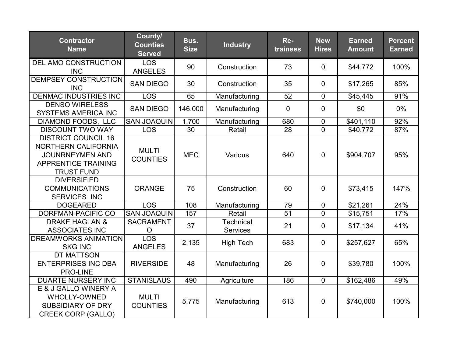| <b>Contractor</b><br><b>Name</b>                                                                                               | County/<br><b>Counties</b><br><b>Served</b> | Bus.<br><b>Size</b> | <b>Industry</b>       | Re-<br>trainees | <b>New</b><br><b>Hires</b> | <b>Earned</b><br><b>Amount</b> | <b>Percent</b><br><b>Earned</b> |
|--------------------------------------------------------------------------------------------------------------------------------|---------------------------------------------|---------------------|-----------------------|-----------------|----------------------------|--------------------------------|---------------------------------|
| DEL AMO CONSTRUCTION<br><b>INC</b>                                                                                             | <b>LOS</b><br><b>ANGELES</b>                | 90                  | Construction          | 73              | $\mathbf 0$                | \$44,772                       | 100%                            |
| <b>DEMPSEY CONSTRUCTION</b><br><b>INC</b>                                                                                      | <b>SAN DIEGO</b>                            | 30                  | Construction          | 35              | $\mathbf 0$                | \$17,265                       | 85%                             |
| <b>DENMAC INDUSTRIES INC</b>                                                                                                   | <b>LOS</b>                                  | 65                  | Manufacturing         | 52              | $\mathbf 0$                | \$45,445                       | 91%                             |
| <b>DENSO WIRELESS</b><br><b>SYSTEMS AMERICA INC</b>                                                                            | <b>SAN DIEGO</b>                            | 146,000             | Manufacturing         | $\mathbf{0}$    | $\mathbf 0$                | \$0                            | 0%                              |
| DIAMOND FOODS, LLC                                                                                                             | <b>SAN JOAQUIN</b>                          | 1,700               | Manufacturing         | 680             | $\mathbf 0$                | \$401,110                      | 92%                             |
| <b>DISCOUNT TWO WAY</b>                                                                                                        | <b>LOS</b>                                  | 30                  | Retail                | 28              | $\overline{0}$             | \$40,772                       | 87%                             |
| <b>DISTRICT COUNCIL 16</b><br>NORTHERN CALIFORNIA<br><b>JOUNRNEYMEN AND</b><br><b>APPRENTICE TRAINING</b><br><b>TRUST FUND</b> | <b>MULTI</b><br><b>COUNTIES</b>             | <b>MEC</b>          | Various               | 640             | $\mathbf 0$                | \$904,707                      | 95%                             |
| <b>DIVERSIFIED</b><br><b>COMMUNICATIONS</b><br><b>SERVICES INC</b>                                                             | ORANGE                                      | 75                  | Construction          | 60              | $\overline{0}$             | \$73,415                       | 147%                            |
| <b>DOGEARED</b>                                                                                                                | <b>LOS</b>                                  | 108                 | Manufacturing         | 79              | $\mathbf 0$                | \$21,261                       | 24%                             |
| DORFMAN-PACIFIC CO                                                                                                             | <b>SAN JOAQUIN</b>                          | 157                 | Retail                | 51              | $\overline{0}$             | \$15,751                       | 17%                             |
| <b>DRAKE HAGLAN &amp;</b><br><b>ASSOCIATES INC</b>                                                                             | <b>SACRAMENT</b><br>$\overline{O}$          | 37                  | Technical<br>Services | 21              | $\overline{0}$             | \$17,134                       | 41%                             |
| <b>DREAMWORKS ANIMATION</b><br><b>SKG INC</b>                                                                                  | LOS<br><b>ANGELES</b>                       | 2,135               | <b>High Tech</b>      | 683             | $\mathbf 0$                | \$257,627                      | 65%                             |
| <b>DT MATTSON</b><br><b>ENTERPRISES INC DBA</b><br><b>PRO-LINE</b>                                                             | <b>RIVERSIDE</b>                            | 48                  | Manufacturing         | 26              | $\mathbf 0$                | \$39,780                       | 100%                            |
| <b>DUARTE NURSERY INC</b>                                                                                                      | <b>STANISLAUS</b>                           | 490                 | Agriculture           | 186             | $\mathbf{0}$               | \$162,486                      | 49%                             |
| E & J GALLO WINERY A<br>WHOLLY-OWNED<br><b>SUBSIDIARY OF DRY</b><br><b>CREEK CORP (GALLO)</b>                                  | <b>MULTI</b><br><b>COUNTIES</b>             | 5,775               | Manufacturing         | 613             | $\mathbf 0$                | \$740,000                      | 100%                            |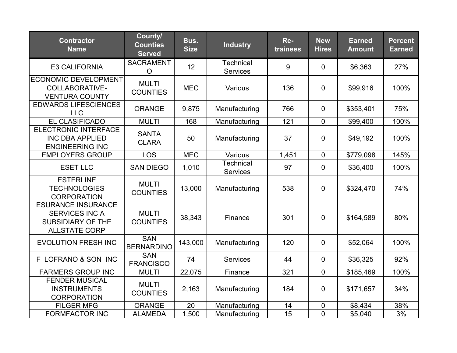| <b>Contractor</b><br><b>Name</b>                                                                       | County/<br><b>Counties</b><br><b>Served</b> | Bus.<br><b>Size</b> | <b>Industry</b>                     | Re-<br>trainees | <b>New</b><br><b>Hires</b> | <b>Earned</b><br><b>Amount</b> | <b>Percent</b><br><b>Earned</b> |
|--------------------------------------------------------------------------------------------------------|---------------------------------------------|---------------------|-------------------------------------|-----------------|----------------------------|--------------------------------|---------------------------------|
| <b>E3 CALIFORNIA</b>                                                                                   | <b>SACRAMENT</b><br>$\circ$                 | 12                  | <b>Technical</b><br><b>Services</b> | 9               | $\overline{0}$             | \$6,363                        | 27%                             |
| <b>ECONOMIC DEVELOPMENT</b><br>COLLABORATIVE-<br><b>VENTURA COUNTY</b>                                 | <b>MULTI</b><br><b>COUNTIES</b>             | <b>MEC</b>          | Various                             | 136             | $\overline{0}$             | \$99,916                       | 100%                            |
| <b>EDWARDS LIFESCIENCES</b><br><b>LLC</b>                                                              | <b>ORANGE</b>                               | 9,875               | Manufacturing                       | 766             | $\mathbf 0$                | \$353,401                      | 75%                             |
| <b>EL CLASIFICADO</b>                                                                                  | <b>MULTI</b>                                | 168                 | Manufacturing                       | 121             | $\mathbf 0$                | \$99,400                       | 100%                            |
| <b>ELECTRONIC INTERFACE</b><br><b>INC DBA APPLIED</b><br><b>ENGINEERING INC</b>                        | <b>SANTA</b><br><b>CLARA</b>                | 50                  | Manufacturing                       | 37              | $\mathbf 0$                | \$49,192                       | 100%                            |
| <b>EMPLOYERS GROUP</b>                                                                                 | <b>LOS</b>                                  | <b>MEC</b>          | Various                             | 1,451           | $\mathbf 0$                | \$779,098                      | 145%                            |
| <b>ESET LLC</b>                                                                                        | <b>SAN DIEGO</b>                            | 1,010               | <b>Technical</b><br><b>Services</b> | 97              | $\overline{0}$             | \$36,400                       | 100%                            |
| <b>ESTERLINE</b><br><b>TECHNOLOGIES</b><br><b>CORPORATION</b>                                          | <b>MULTI</b><br><b>COUNTIES</b>             | 13,000              | Manufacturing                       | 538             | $\mathbf 0$                | \$324,470                      | 74%                             |
| <b>ESURANCE INSURANCE</b><br><b>SERVICES INC A</b><br><b>SUBSIDIARY OF THE</b><br><b>ALLSTATE CORP</b> | <b>MULTI</b><br><b>COUNTIES</b>             | 38,343              | Finance                             | 301             | $\overline{0}$             | \$164,589                      | 80%                             |
| <b>EVOLUTION FRESH INC</b>                                                                             | <b>SAN</b><br><b>BERNARDINO</b>             | 143,000             | Manufacturing                       | 120             | $\mathbf 0$                | \$52,064                       | 100%                            |
| F LOFRANO & SON INC                                                                                    | <b>SAN</b><br><b>FRANCISCO</b>              | 74                  | <b>Services</b>                     | 44              | $\mathbf 0$                | \$36,325                       | 92%                             |
| <b>FARMERS GROUP INC</b>                                                                               | <b>MULTI</b>                                | 22,075              | Finance                             | 321             | $\mathbf 0$                | \$185,469                      | 100%                            |
| <b>FENDER MUSICAL</b><br><b>INSTRUMENTS</b><br><b>CORPORATION</b>                                      | <b>MULTI</b><br><b>COUNTIES</b>             | 2,163               | Manufacturing                       | 184             | $\mathbf 0$                | \$171,657                      | 34%                             |
| <b>FILGER MFG</b>                                                                                      | <b>ORANGE</b>                               | 20                  | Manufacturing                       | 14              | $\mathbf 0$                | \$8,434                        | 38%                             |
| <b>FORMFACTOR INC</b>                                                                                  | <b>ALAMEDA</b>                              | 1,500               | Manufacturing                       | $\overline{15}$ | $\mathbf 0$                | \$5,040                        | 3%                              |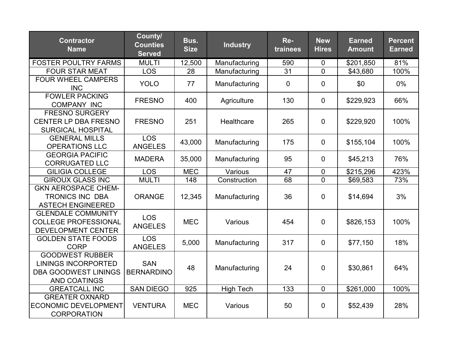| <b>Contractor</b><br><b>Name</b>                                                                           | County/<br><b>Counties</b><br><b>Served</b> | Bus.<br><b>Size</b> | <b>Industry</b>  | Re-<br>trainees | <b>New</b><br><b>Hires</b> | <b>Earned</b><br><b>Amount</b> | <b>Percent</b><br><b>Earned</b> |
|------------------------------------------------------------------------------------------------------------|---------------------------------------------|---------------------|------------------|-----------------|----------------------------|--------------------------------|---------------------------------|
| <b>FOSTER POULTRY FARMS</b>                                                                                | <b>MULTI</b>                                | 12,500              | Manufacturing    | 590             | 0                          | \$201,850                      | 81%                             |
| <b>FOUR STAR MEAT</b>                                                                                      | <b>LOS</b>                                  | 28                  | Manufacturing    | 31              | $\overline{0}$             | \$43,680                       | 100%                            |
| <b>FOUR WHEEL CAMPERS</b><br><b>INC</b>                                                                    | <b>YOLO</b>                                 | 77                  | Manufacturing    | $\mathbf 0$     | $\mathbf 0$                | \$0                            | 0%                              |
| <b>FOWLER PACKING</b><br><b>COMPANY INC</b>                                                                | <b>FRESNO</b>                               | 400                 | Agriculture      | 130             | $\overline{0}$             | \$229,923                      | 66%                             |
| <b>FRESNO SURGERY</b><br><b>CENTER LP DBA FRESNO</b><br><b>SURGICAL HOSPITAL</b>                           | <b>FRESNO</b>                               | 251                 | Healthcare       | 265             | $\overline{0}$             | \$229,920                      | 100%                            |
| <b>GENERAL MILLS</b><br><b>OPERATIONS LLC</b>                                                              | <b>LOS</b><br><b>ANGELES</b>                | 43,000              | Manufacturing    | 175             | $\mathbf 0$                | \$155,104                      | 100%                            |
| <b>GEORGIA PACIFIC</b><br><b>CORRUGATED LLC</b>                                                            | <b>MADERA</b>                               | 35,000              | Manufacturing    | 95              | $\mathbf 0$                | \$45,213                       | 76%                             |
| <b>GILIGIA COLLEGE</b>                                                                                     | <b>LOS</b>                                  | <b>MEC</b>          | Various          | 47              | $\mathbf 0$                | \$215,296                      | 423%                            |
| <b>GIROUX GLASS INC</b>                                                                                    | <b>MULTI</b>                                | 148                 | Construction     | 68              | $\Omega$                   | \$69,583                       | 73%                             |
| <b>GKN AEROSPACE CHEM-</b><br><b>TRONICS INC DBA</b><br><b>ASTECH ENGINEERED</b>                           | <b>ORANGE</b>                               | 12,345              | Manufacturing    | 36              | $\overline{0}$             | \$14,694                       | 3%                              |
| <b>GLENDALE COMMUNITY</b><br><b>COLLEGE PROFESSIONAL</b><br><b>DEVELOPMENT CENTER</b>                      | <b>LOS</b><br><b>ANGELES</b>                | <b>MEC</b>          | Various          | 454             | $\overline{0}$             | \$826,153                      | 100%                            |
| <b>GOLDEN STATE FOODS</b><br><b>CORP</b>                                                                   | <b>LOS</b><br><b>ANGELES</b>                | 5,000               | Manufacturing    | 317             | $\mathbf 0$                | \$77,150                       | 18%                             |
| <b>GOODWEST RUBBER</b><br><b>LININGS INCORPORTED</b><br><b>DBA GOODWEST LININGS</b><br><b>AND COATINGS</b> | <b>SAN</b><br><b>BERNARDINO</b>             | 48                  | Manufacturing    | 24              | $\mathbf 0$                | \$30,861                       | 64%                             |
| <b>GREATCALL INC</b>                                                                                       | <b>SAN DIEGO</b>                            | 925                 | <b>High Tech</b> | 133             | $\Omega$                   | \$261,000                      | 100%                            |
| <b>GREATER OXNARD</b><br><b>ECONOMIC DEVELOPMENT</b><br><b>CORPORATION</b>                                 | <b>VENTURA</b>                              | <b>MEC</b>          | Various          | 50              | $\mathbf 0$                | \$52,439                       | 28%                             |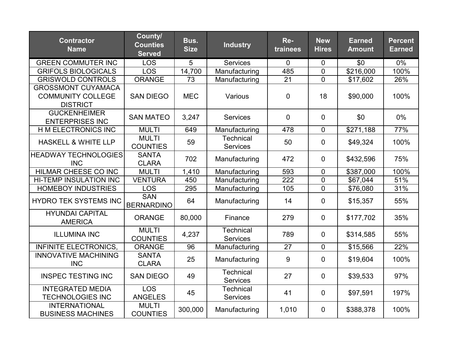| <b>Contractor</b><br><b>Name</b>                                         | County/<br><b>Counties</b><br><b>Served</b> | Bus.<br><b>Size</b> | <b>Industry</b>                     | Re-<br>trainees  | <b>New</b><br><b>Hires</b> | <b>Earned</b><br><b>Amount</b> | <b>Percent</b><br><b>Earned</b> |
|--------------------------------------------------------------------------|---------------------------------------------|---------------------|-------------------------------------|------------------|----------------------------|--------------------------------|---------------------------------|
| <b>GREEN COMMUTER INC</b>                                                | <b>LOS</b>                                  | 5                   | <b>Services</b>                     | $\mathbf{0}$     | $\mathbf 0$                | \$0                            | $0\%$                           |
| <b>GRIFOLS BIOLOGICALS</b>                                               | <b>LOS</b>                                  | 14,700              | Manufacturing                       | 485              | $\overline{0}$             | \$216,000                      | 100%                            |
| <b>GRISWOLD CONTROLS</b>                                                 | <b>ORANGE</b>                               | 73                  | Manufacturing                       | 21               | $\overline{0}$             | \$17,602                       | 26%                             |
| <b>GROSSMONT CUYAMACA</b><br><b>COMMUNITY COLLEGE</b><br><b>DISTRICT</b> | <b>SAN DIEGO</b>                            | <b>MEC</b>          | Various                             | $\overline{0}$   | 18                         | \$90,000                       | 100%                            |
| <b>GUCKENHEIMER</b><br><b>ENTERPRISES INC</b>                            | <b>SAN MATEO</b>                            | 3,247               | <b>Services</b>                     | $\overline{0}$   | $\overline{0}$             | \$0                            | 0%                              |
| H M ELECTRONICS INC                                                      | <b>MULTI</b>                                | 649                 | Manufacturing                       | 478              | $\overline{0}$             | \$271,188                      | 77%                             |
| <b>HASKELL &amp; WHITE LLP</b>                                           | <b>MULTI</b><br><b>COUNTIES</b>             | 59                  | <b>Technical</b><br><b>Services</b> | 50               | $\overline{0}$             | \$49,324                       | 100%                            |
| <b>HEADWAY TECHNOLOGIES</b><br><b>INC</b>                                | <b>SANTA</b><br><b>CLARA</b>                | 702                 | Manufacturing                       | 472              | $\overline{0}$             | \$432,596                      | 75%                             |
| <b>HILMAR CHEESE CO INC</b>                                              | <b>MULTI</b>                                | 1,410               | Manufacturing                       | 593              | $\mathbf 0$                | \$387,000                      | 100%                            |
| <b>HI-TEMP INSULATION INC</b>                                            | <b>VENTURA</b>                              | 450                 | Manufacturing                       | $\overline{222}$ | $\overline{0}$             | \$67,044                       | 51%                             |
| <b>HOMEBOY INDUSTRIES</b>                                                | <b>LOS</b>                                  | 295                 | Manufacturing                       | 105              | $\overline{0}$             | \$76,080                       | 31%                             |
| <b>HYDRO TEK SYSTEMS INC</b>                                             | <b>SAN</b><br><b>BERNARDINO</b>             | 64                  | Manufacturing                       | 14               | $\mathbf 0$                | \$15,357                       | 55%                             |
| <b>HYUNDAI CAPITAL</b><br><b>AMERICA</b>                                 | <b>ORANGE</b>                               | 80,000              | Finance                             | 279              | $\overline{0}$             | \$177,702                      | 35%                             |
| <b>ILLUMINA INC</b>                                                      | <b>MULTI</b><br><b>COUNTIES</b>             | 4,237               | <b>Technical</b><br><b>Services</b> | 789              | $\overline{0}$             | \$314,585                      | 55%                             |
| <b>INFINITE ELECTRONICS,</b>                                             | <b>ORANGE</b>                               | 96                  | Manufacturing                       | 27               | $\mathbf 0$                | \$15,566                       | 22%                             |
| <b>INNOVATIVE MACHINING</b><br><b>INC</b>                                | <b>SANTA</b><br><b>CLARA</b>                | 25                  | Manufacturing                       | 9                | $\mathbf 0$                | \$19,604                       | 100%                            |
| <b>INSPEC TESTING INC</b>                                                | <b>SAN DIEGO</b>                            | 49                  | <b>Technical</b><br><b>Services</b> | 27               | $\mathbf 0$                | \$39,533                       | 97%                             |
| <b>INTEGRATED MEDIA</b><br><b>TECHNOLOGIES INC</b>                       | <b>LOS</b><br><b>ANGELES</b>                | 45                  | <b>Technical</b><br><b>Services</b> | 41               | $\mathbf 0$                | \$97,591                       | 197%                            |
| <b>INTERNATIONAL</b><br><b>BUSINESS MACHINES</b>                         | <b>MULTI</b><br><b>COUNTIES</b>             | 300,000             | Manufacturing                       | 1,010            | $\overline{0}$             | \$388,378                      | 100%                            |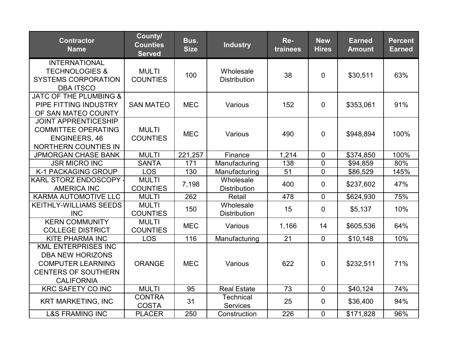| <b>Contractor</b><br><b>Name</b>                                                                                                     | County/<br><b>Counties</b><br><b>Served</b> | Bus.<br><b>Size</b> | <b>Industry</b>                     | Re-<br>trainees | <b>New</b><br><b>Hires</b> | <b>Earned</b><br><b>Amount</b> | <b>Percent</b><br><b>Earned</b> |
|--------------------------------------------------------------------------------------------------------------------------------------|---------------------------------------------|---------------------|-------------------------------------|-----------------|----------------------------|--------------------------------|---------------------------------|
| <b>INTERNATIONAL</b><br><b>TECHNOLOGIES &amp;</b><br><b>SYSTEMS CORPORATION</b><br><b>DBA ITSCO</b>                                  | <b>MULTI</b><br><b>COUNTIES</b>             | 100                 | Wholesale<br><b>Distribution</b>    | 38              | $\mathbf 0$                | \$30,511                       | 63%                             |
| JATC OF THE PLUMBING &<br>PIPE FITTING INDUSTRY<br>OF SAN MATEO COUNTY                                                               | <b>SAN MATEO</b>                            | <b>MEC</b>          | Various                             | 152             | $\mathbf 0$                | \$353,061                      | 91%                             |
| <b>JOINT APPRENTICESHIP</b><br><b>COMMITTEE OPERATING</b><br><b>ENGINEERS, 46</b><br>NORTHERN COUNTIES IN                            | <b>MULTI</b><br><b>COUNTIES</b>             | <b>MEC</b>          | Various                             | 490             | $\overline{0}$             | \$948,894                      | 100%                            |
| <b>JPMORGAN CHASE BANK</b>                                                                                                           | <b>MULTI</b>                                | 221,257             | Finance                             | 1,214           | $\mathbf 0$                | \$374,850                      | 100%                            |
| <b>JSR MICRO INC</b>                                                                                                                 | <b>SANTA</b>                                | 171                 | Manufacturing                       | 138             | $\mathbf 0$                | \$94,859                       | 80%                             |
| K-1 PACKAGING GROUP                                                                                                                  | <b>LOS</b>                                  | 130                 | Manufacturing                       | 51              | $\mathbf 0$                | \$86,529                       | 145%                            |
| KARL STORZ ENDOSCOPY -<br><b>AMERICA INC</b>                                                                                         | <b>MULTI</b><br><b>COUNTIES</b>             | 7,198               | Wholesale<br><b>Distribution</b>    | 400             | $\mathbf 0$                | \$237,602                      | 47%                             |
| <b>KARMA AUTOMOTIVE LLC</b>                                                                                                          | <b>MULTI</b>                                | 262                 | Retail                              | 478             | $\mathbf 0$                | \$624,930                      | 75%                             |
| <b>KEITHLY-WILLIAMS SEEDS</b><br><b>INC</b>                                                                                          | <b>MULTI</b><br><b>COUNTIES</b>             | 150                 | Wholesale<br><b>Distribution</b>    | 15              | $\mathbf 0$                | \$5,137                        | 10%                             |
| <b>KERN COMMUNITY</b><br><b>COLLEGE DISTRICT</b>                                                                                     | <b>MULTI</b><br><b>COUNTIES</b>             | <b>MEC</b>          | Various                             | 1,166           | 14                         | \$605,536                      | 64%                             |
| <b>KITE PHARMA INC</b>                                                                                                               | <b>LOS</b>                                  | 116                 | Manufacturing                       | 21              | $\overline{0}$             | \$10,148                       | 10%                             |
| <b>KML ENTERPRISES INC</b><br><b>DBA NEW HORIZONS</b><br><b>COMPUTER LEARNING</b><br><b>CENTERS OF SOUTHERN</b><br><b>CALIFORNIA</b> | <b>ORANGE</b>                               | <b>MEC</b>          | Various                             | 622             | $\mathbf 0$                | \$232,511                      | 71%                             |
| <b>KRC SAFETY CO INC</b>                                                                                                             | <b>MULTI</b>                                | 95                  | <b>Real Estate</b>                  | 73              | $\mathbf 0$                | \$40,124                       | 74%                             |
| <b>KRT MARKETING, INC</b>                                                                                                            | <b>CONTRA</b><br><b>COSTA</b>               | 31                  | <b>Technical</b><br><b>Services</b> | 25              | $\mathbf 0$                | \$36,400                       | 94%                             |
| <b>L&amp;S FRAMING INC</b>                                                                                                           | <b>PLACER</b>                               | 250                 | Construction                        | 226             | $\mathbf 0$                | \$171,828                      | 96%                             |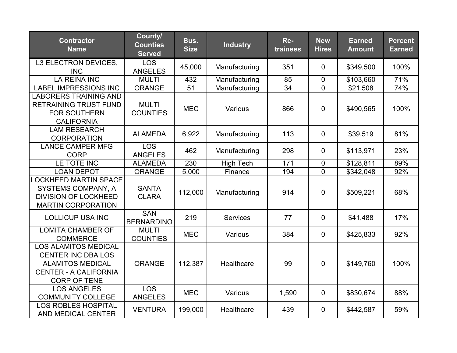| <b>Contractor</b><br><b>Name</b>                                                                                                           | County/<br><b>Counties</b><br><b>Served</b> | Bus.<br><b>Size</b> | <b>Industry</b>  | Re-<br>trainees | <b>New</b><br><b>Hires</b> | <b>Earned</b><br><b>Amount</b> | <b>Percent</b><br><b>Earned</b> |
|--------------------------------------------------------------------------------------------------------------------------------------------|---------------------------------------------|---------------------|------------------|-----------------|----------------------------|--------------------------------|---------------------------------|
| L3 ELECTRON DEVICES,<br><b>INC</b>                                                                                                         | <b>LOS</b><br><b>ANGELES</b>                | 45,000              | Manufacturing    | 351             | $\overline{0}$             | \$349,500                      | 100%                            |
| <b>LA REINA INC</b>                                                                                                                        | <b>MULTI</b>                                | 432                 | Manufacturing    | 85              | $\mathbf 0$                | \$103,660                      | 71%                             |
| <b>LABEL IMPRESSIONS INC</b>                                                                                                               | <b>ORANGE</b>                               | 51                  | Manufacturing    | 34              | $\Omega$                   | \$21,508                       | 74%                             |
| <b>LABORERS TRAINING AND</b><br><b>RETRAINING TRUST FUND</b><br><b>FOR SOUTHERN</b><br><b>CALIFORNIA</b>                                   | <b>MULTI</b><br><b>COUNTIES</b>             | <b>MEC</b>          | Various          | 866             | $\overline{0}$             | \$490,565                      | 100%                            |
| <b>LAM RESEARCH</b><br><b>CORPORATION</b>                                                                                                  | <b>ALAMEDA</b>                              | 6,922               | Manufacturing    | 113             | $\mathbf 0$                | \$39,519                       | 81%                             |
| <b>LANCE CAMPER MFG</b><br><b>CORP</b>                                                                                                     | <b>LOS</b><br><b>ANGELES</b>                | 462                 | Manufacturing    | 298             | $\overline{0}$             | \$113,971                      | 23%                             |
| LE TOTE INC                                                                                                                                | <b>ALAMEDA</b>                              | 230                 | <b>High Tech</b> | 171             | $\mathbf 0$                | \$128,811                      | 89%                             |
| <b>LOAN DEPOT</b>                                                                                                                          | <b>ORANGE</b>                               | 5,000               | Finance          | 194             | $\overline{0}$             | \$342,048                      | 92%                             |
| <b>LOCKHEED MARTIN SPACE</b><br><b>SYSTEMS COMPANY, A</b><br><b>DIVISION OF LOCKHEED</b><br><b>MARTIN CORPORATION</b>                      | <b>SANTA</b><br><b>CLARA</b>                | 112,000             | Manufacturing    | 914             | $\mathbf 0$                | \$509,221                      | 68%                             |
| <b>LOLLICUP USA INC</b>                                                                                                                    | <b>SAN</b><br><b>BERNARDINO</b>             | 219                 | <b>Services</b>  | 77              | $\mathbf 0$                | \$41,488                       | 17%                             |
| <b>LOMITA CHAMBER OF</b><br><b>COMMERCE</b>                                                                                                | <b>MULTI</b><br><b>COUNTIES</b>             | <b>MEC</b>          | Various          | 384             | $\mathbf 0$                | \$425,833                      | 92%                             |
| <b>LOS ALAMITOS MEDICAL</b><br><b>CENTER INC DBA LOS</b><br><b>ALAMITOS MEDICAL</b><br><b>CENTER - A CALIFORNIA</b><br><b>CORP OF TENE</b> | <b>ORANGE</b>                               | 112,387             | Healthcare       | 99              | $\overline{0}$             | \$149,760                      | 100%                            |
| <b>LOS ANGELES</b><br><b>COMMUNITY COLLEGE</b>                                                                                             | <b>LOS</b><br><b>ANGELES</b>                | <b>MEC</b>          | Various          | 1,590           | $\overline{0}$             | \$830,674                      | 88%                             |
| <b>LOS ROBLES HOSPITAL</b><br>AND MEDICAL CENTER                                                                                           | <b>VENTURA</b>                              | 199,000             | Healthcare       | 439             | $\mathbf 0$                | \$442,587                      | 59%                             |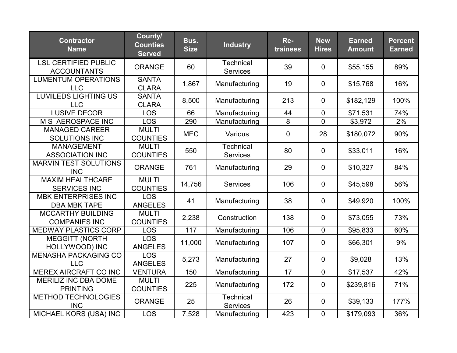| <b>Contractor</b><br><b>Name</b>                  | County/<br><b>Counties</b><br><b>Served</b> | Bus.<br><b>Size</b> | <b>Industry</b>                     | Re-<br>trainees | <b>New</b><br><b>Hires</b> | <b>Earned</b><br><b>Amount</b> | <b>Percent</b><br><b>Earned</b> |
|---------------------------------------------------|---------------------------------------------|---------------------|-------------------------------------|-----------------|----------------------------|--------------------------------|---------------------------------|
| <b>LSL CERTIFIED PUBLIC</b><br><b>ACCOUNTANTS</b> | <b>ORANGE</b>                               | 60                  | <b>Technical</b><br><b>Services</b> | 39              | $\overline{0}$             | \$55,155                       | 89%                             |
| <b>LUMENTUM OPERATIONS</b><br><b>LLC</b>          | <b>SANTA</b><br><b>CLARA</b>                | 1,867               | Manufacturing                       | 19              | $\overline{0}$             | \$15,768                       | 16%                             |
| <b>LUMILEDS LIGHTING US</b><br><b>LLC</b>         | <b>SANTA</b><br><b>CLARA</b>                | 8,500               | Manufacturing                       | 213             | $\mathbf 0$                | \$182,129                      | 100%                            |
| <b>LUSIVE DECOR</b>                               | <b>LOS</b>                                  | 66                  | Manufacturing                       | 44              | $\mathbf 0$                | \$71,531                       | 74%                             |
| M S AEROSPACE INC                                 | <b>LOS</b>                                  | 290                 | Manufacturing                       | 8               | $\mathbf 0$                | \$3,972                        | $2\%$                           |
| <b>MANAGED CAREER</b><br><b>SOLUTIONS INC</b>     | <b>MULTI</b><br><b>COUNTIES</b>             | <b>MEC</b>          | Various                             | 0               | 28                         | \$180,072                      | 90%                             |
| <b>MANAGEMENT</b><br><b>ASSOCIATION INC</b>       | <b>MULTI</b><br><b>COUNTIES</b>             | 550                 | <b>Technical</b><br>Services        | 80              | $\mathbf 0$                | \$33,011                       | 16%                             |
| <b>MARVIN TEST SOLUTIONS</b><br><b>INC</b>        | <b>ORANGE</b>                               | 761                 | Manufacturing                       | 29              | $\mathbf 0$                | \$10,327                       | 84%                             |
| <b>MAXIM HEALTHCARE</b><br><b>SERVICES INC</b>    | <b>MULTI</b><br><b>COUNTIES</b>             | 14,756              | <b>Services</b>                     | 106             | $\mathbf 0$                | \$45,598                       | 56%                             |
| <b>MBK ENTERPRISES INC</b><br><b>DBA MBK TAPE</b> | <b>LOS</b><br><b>ANGELES</b>                | 41                  | Manufacturing                       | 38              | $\mathbf 0$                | \$49,920                       | 100%                            |
| <b>MCCARTHY BUILDING</b><br><b>COMPANIES INC</b>  | <b>MULTI</b><br><b>COUNTIES</b>             | 2,238               | Construction                        | 138             | $\mathbf 0$                | \$73,055                       | 73%                             |
| <b>MEDWAY PLASTICS CORP</b>                       | <b>LOS</b>                                  | 117                 | Manufacturing                       | 106             | $\mathbf{0}$               | \$95,833                       | 60%                             |
| <b>MEGGITT (NORTH</b><br>HOLLYWOOD) INC           | <b>LOS</b><br><b>ANGELES</b>                | 11,000              | Manufacturing                       | 107             | $\mathbf 0$                | \$66,301                       | 9%                              |
| <b>MENASHA PACKAGING CO</b><br><b>LLC</b>         | <b>LOS</b><br><b>ANGELES</b>                | 5,273               | Manufacturing                       | 27              | $\mathbf 0$                | \$9,028                        | 13%                             |
| <b>MEREX AIRCRAFT CO INC</b>                      | <b>VENTURA</b>                              | 150                 | Manufacturing                       | $\overline{17}$ | $\mathbf 0$                | \$17,537                       | 42%                             |
| <b>MERILIZ INC DBA DOME</b><br><b>PRINTING</b>    | <b>MULTI</b><br><b>COUNTIES</b>             | 225                 | Manufacturing                       | 172             | $\mathbf 0$                | \$239,816                      | 71%                             |
| <b>METHOD TECHNOLOGIES</b><br><b>INC</b>          | <b>ORANGE</b>                               | 25                  | Technical<br><b>Services</b>        | 26              | $\mathbf 0$                | \$39,133                       | 177%                            |
| MICHAEL KORS (USA) INC                            | <b>LOS</b>                                  | 7,528               | Manufacturing                       | 423             | $\mathbf 0$                | \$179,093                      | 36%                             |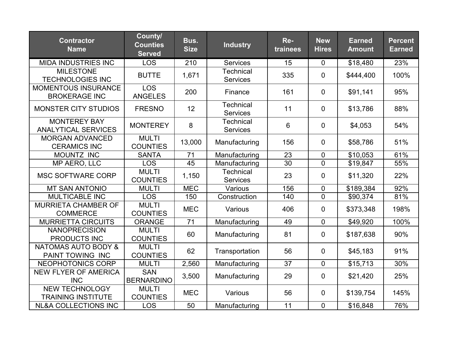| <b>Contractor</b><br><b>Name</b>                   | County/<br><b>Counties</b><br><b>Served</b> | Bus.<br><b>Size</b> | <b>Industry</b>                     | Re-<br>trainees | <b>New</b><br><b>Hires</b> | <b>Earned</b><br><b>Amount</b> | <b>Percent</b><br><b>Earned</b> |
|----------------------------------------------------|---------------------------------------------|---------------------|-------------------------------------|-----------------|----------------------------|--------------------------------|---------------------------------|
| <b>MIDA INDUSTRIES INC</b>                         | <b>LOS</b>                                  | 210                 | <b>Services</b>                     | 15              | $\mathbf 0$                | \$18,480                       | 23%                             |
| <b>MILESTONE</b><br><b>TECHNOLOGIES INC</b>        | <b>BUTTE</b>                                | 1,671               | <b>Technical</b><br><b>Services</b> | 335             | $\overline{0}$             | \$444,400                      | 100%                            |
| <b>MOMENTOUS INSURANCE</b><br><b>BROKERAGE INC</b> | <b>LOS</b><br><b>ANGELES</b>                | 200                 | Finance                             | 161             | $\overline{0}$             | \$91,141                       | 95%                             |
| <b>MONSTER CITY STUDIOS</b>                        | <b>FRESNO</b>                               | 12                  | <b>Technical</b><br><b>Services</b> | 11              | $\overline{0}$             | \$13,786                       | 88%                             |
| <b>MONTEREY BAY</b><br><b>ANALYTICAL SERVICES</b>  | <b>MONTEREY</b>                             | 8                   | <b>Technical</b><br><b>Services</b> | $6\phantom{1}$  | $\overline{0}$             | \$4,053                        | 54%                             |
| <b>MORGAN ADVANCED</b><br><b>CERAMICS INC</b>      | <b>MULTI</b><br><b>COUNTIES</b>             | 13,000              | Manufacturing                       | 156             | $\mathbf 0$                | \$58,786                       | 51%                             |
| MOUNTZ INC                                         | <b>SANTA</b>                                | 71                  | Manufacturing                       | 23              | $\overline{0}$             | \$10,053                       | 61%                             |
| MP AERO, LLC                                       | <b>LOS</b>                                  | 45                  | Manufacturing                       | 30              | $\overline{0}$             | \$19,847                       | 55%                             |
| <b>MSC SOFTWARE CORP</b>                           | <b>MULTI</b><br><b>COUNTIES</b>             | 1,150               | <b>Technical</b><br><b>Services</b> | 23              | $\overline{0}$             | \$11,320                       | 22%                             |
| <b>MT SAN ANTONIO</b>                              | <b>MULTI</b>                                | <b>MEC</b>          | Various                             | 156             | $\overline{0}$             | \$189,384                      | 92%                             |
| <b>MULTICABLE INC</b>                              | <b>LOS</b>                                  | 150                 | Construction                        | 140             | $\overline{0}$             | \$90,374                       | 81%                             |
| <b>MURRIETA CHAMBER OF</b><br><b>COMMERCE</b>      | <b>MULTI</b><br><b>COUNTIES</b>             | <b>MEC</b>          | Various                             | 406             | $\overline{0}$             | \$373,348                      | 198%                            |
| <b>MURRIETTA CIRCUITS</b>                          | <b>ORANGE</b>                               | 71                  | Manufacturing                       | 49              | $\overline{0}$             | \$49,920                       | 100%                            |
| <b>NANOPRECISION</b><br>PRODUCTS INC               | <b>MULTI</b><br><b>COUNTIES</b>             | 60                  | Manufacturing                       | 81              | $\overline{0}$             | \$187,638                      | 90%                             |
| <b>NATOMAS AUTO BODY &amp;</b><br>PAINT TOWING INC | <b>MULTI</b><br><b>COUNTIES</b>             | 62                  | Transportation                      | 56              | $\overline{0}$             | \$45,183                       | 91%                             |
| NEOPHOTONICS CORP                                  | <b>MULTI</b>                                | 2,560               | Manufacturing                       | 37              | $\overline{0}$             | \$15,713                       | 30%                             |
| <b>NEW FLYER OF AMERICA</b><br><b>INC</b>          | <b>SAN</b><br><b>BERNARDINO</b>             | 3,500               | Manufacturing                       | 29              | $\mathbf 0$                | \$21,420                       | 25%                             |
| <b>NEW TECHNOLOGY</b><br><b>TRAINING INSTITUTE</b> | <b>MULTI</b><br><b>COUNTIES</b>             | <b>MEC</b>          | Various                             | 56              | $\overline{0}$             | \$139,754                      | 145%                            |
| <b>NL&amp;A COLLECTIONS INC</b>                    | <b>LOS</b>                                  | 50                  | Manufacturing                       | 11              | $\mathbf 0$                | \$16,848                       | 76%                             |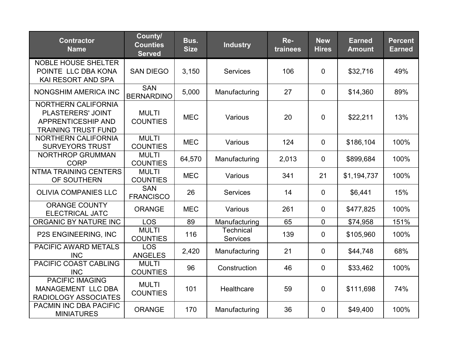| <b>Contractor</b><br><b>Name</b>                                                             | County/<br><b>Counties</b><br><b>Served</b> | Bus.<br><b>Size</b> | <b>Industry</b>                     | Re-<br>trainees | <b>New</b><br><b>Hires</b> | <b>Earned</b><br><b>Amount</b> | <b>Percent</b><br><b>Earned</b> |
|----------------------------------------------------------------------------------------------|---------------------------------------------|---------------------|-------------------------------------|-----------------|----------------------------|--------------------------------|---------------------------------|
| <b>NOBLE HOUSE SHELTER</b><br>POINTE LLC DBA KONA<br>KAI RESORT AND SPA                      | <b>SAN DIEGO</b>                            | 3,150               | <b>Services</b>                     | 106             | $\overline{0}$             | \$32,716                       | 49%                             |
| <b>NONGSHIM AMERICA INC</b>                                                                  | <b>SAN</b><br><b>BERNARDINO</b>             | 5,000               | Manufacturing                       | 27              | $\overline{0}$             | \$14,360                       | 89%                             |
| NORTHERN CALIFORNIA<br>PLASTERERS' JOINT<br>APPRENTICESHIP AND<br><b>TRAINING TRUST FUND</b> | <b>MULTI</b><br><b>COUNTIES</b>             | <b>MEC</b>          | Various                             | 20              | $\Omega$                   | \$22,211                       | 13%                             |
| <b>NORTHERN CALIFORNIA</b><br><b>SURVEYORS TRUST</b>                                         | <b>MULTI</b><br><b>COUNTIES</b>             | <b>MEC</b>          | Various                             | 124             | $\mathbf{0}$               | \$186,104                      | 100%                            |
| <b>NORTHROP GRUMMAN</b><br><b>CORP</b>                                                       | <b>MULTI</b><br><b>COUNTIES</b>             | 64,570              | Manufacturing                       | 2,013           | $\overline{0}$             | \$899,684                      | 100%                            |
| <b>NTMA TRAINING CENTERS</b><br>OF SOUTHERN                                                  | <b>MULTI</b><br><b>COUNTIES</b>             | <b>MEC</b>          | Various                             | 341             | 21                         | \$1,194,737                    | 100%                            |
| <b>OLIVIA COMPANIES LLC</b>                                                                  | <b>SAN</b><br><b>FRANCISCO</b>              | 26                  | <b>Services</b>                     | 14              | $\overline{0}$             | \$6,441                        | 15%                             |
| <b>ORANGE COUNTY</b><br><b>ELECTRICAL JATC</b>                                               | <b>ORANGE</b>                               | <b>MEC</b>          | Various                             | 261             | $\overline{0}$             | \$477,825                      | 100%                            |
| ORGANIC BY NATURE INC                                                                        | <b>LOS</b>                                  | 89                  | Manufacturing                       | 65              | $\overline{0}$             | \$74,958                       | 151%                            |
| <b>P2S ENGINEERING, INC</b>                                                                  | <b>MULTI</b><br><b>COUNTIES</b>             | 116                 | <b>Technical</b><br><b>Services</b> | 139             | $\overline{0}$             | \$105,960                      | 100%                            |
| PACIFIC AWARD METALS<br><b>INC</b>                                                           | <b>LOS</b><br><b>ANGELES</b>                | 2,420               | Manufacturing                       | 21              | $\mathbf 0$                | \$44,748                       | 68%                             |
| PACIFIC COAST CABLING<br><b>INC</b>                                                          | <b>MULTI</b><br><b>COUNTIES</b>             | 96                  | Construction                        | 46              | $\mathbf 0$                | \$33,462                       | 100%                            |
| <b>PACIFIC IMAGING</b><br><b>MANAGEMENT LLC DBA</b><br>RADIOLOGY ASSOCIATES                  | <b>MULTI</b><br><b>COUNTIES</b>             | 101                 | Healthcare                          | 59              | $\overline{0}$             | \$111,698                      | 74%                             |
| <b>PACMIN INC DBA PACIFIC</b><br><b>MINIATURES</b>                                           | <b>ORANGE</b>                               | 170                 | Manufacturing                       | 36              | $\mathbf 0$                | \$49,400                       | 100%                            |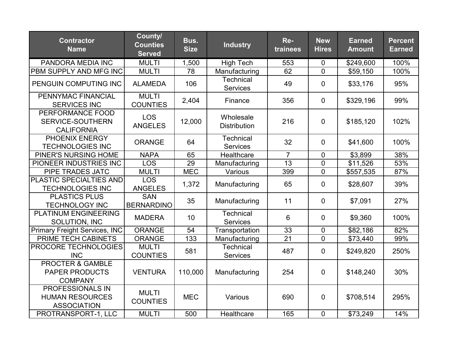| <b>Contractor</b><br><b>Name</b>                                        | County/<br><b>Counties</b><br><b>Served</b> | Bus.<br><b>Size</b> | <b>Industry</b>                     | Re-<br>trainees | <b>New</b><br><b>Hires</b> | <b>Earned</b><br><b>Amount</b> | <b>Percent</b><br><b>Earned</b> |
|-------------------------------------------------------------------------|---------------------------------------------|---------------------|-------------------------------------|-----------------|----------------------------|--------------------------------|---------------------------------|
| PANDORA MEDIA INC                                                       | <b>MULTI</b>                                | 1,500               | <b>High Tech</b>                    | 553             | $\mathbf 0$                | \$249,600                      | 100%                            |
| <b>PBM SUPPLY AND MFG INC</b>                                           | <b>MULTI</b>                                | 78                  | Manufacturing                       | 62              | $\overline{0}$             | \$59,150                       | 100%                            |
| PENGUIN COMPUTING INC                                                   | <b>ALAMEDA</b>                              | 106                 | <b>Technical</b><br><b>Services</b> | 49              | $\mathbf 0$                | \$33,176                       | 95%                             |
| PENNYMAC FINANCIAL<br><b>SERVICES INC</b>                               | <b>MULTI</b><br><b>COUNTIES</b>             | 2,404               | Finance                             | 356             | $\mathbf 0$                | \$329,196                      | 99%                             |
| PERFORMANCE FOOD<br>SERVICE-SOUTHERN<br><b>CALIFORNIA</b>               | <b>LOS</b><br><b>ANGELES</b>                | 12,000              | Wholesale<br><b>Distribution</b>    | 216             | $\mathbf 0$                | \$185,120                      | 102%                            |
| <b>PHOENIX ENERGY</b><br><b>TECHNOLOGIES INC</b>                        | <b>ORANGE</b>                               | 64                  | <b>Technical</b><br><b>Services</b> | 32              | $\mathbf 0$                | \$41,600                       | 100%                            |
| PINER'S NURSING HOME                                                    | <b>NAPA</b>                                 | 65                  | Healthcare                          | $\overline{7}$  | $\mathbf 0$                | \$3,899                        | 38%                             |
| PIONEER INDUSTRIES INC                                                  | <b>LOS</b>                                  | 29                  | Manufacturing                       | 13              | $\mathbf 0$                | \$11,526                       | 53%                             |
| PIPE TRADES JATC                                                        | <b>MULTI</b>                                | <b>MEC</b>          | Various                             | 399             | $\mathbf 0$                | \$557,535                      | 87%                             |
| <b>PLASTIC SPECIALTIES AND</b><br><b>TECHNOLOGIES INC</b>               | <b>LOS</b><br><b>ANGELES</b>                | 1,372               | Manufacturing                       | 65              | $\mathbf 0$                | \$28,607                       | 39%                             |
| <b>PLASTICS PLUS</b><br><b>TECHNOLOGY INC</b>                           | <b>SAN</b><br><b>BERNARDINO</b>             | 35                  | Manufacturing                       | 11              | $\mathbf 0$                | \$7,091                        | 27%                             |
| <b>PLATINUM ENGINEERING</b><br>SOLUTION, INC                            | <b>MADERA</b>                               | 10                  | Technical<br>Services               | 6               | $\mathbf 0$                | \$9,360                        | 100%                            |
| <b>Primary Freight Services, INC</b>                                    | <b>ORANGE</b>                               | $\overline{54}$     | Transportation                      | $\overline{33}$ | $\mathbf 0$                | $\overline{$82,186}$           | 82%                             |
| PRIME TECH CABINETS                                                     | <b>ORANGE</b>                               | 133                 | Manufacturing                       | 21              | $\overline{0}$             | \$73,440                       | 99%                             |
| <b>PROCORE TECHNOLOGIES</b><br><b>INC</b>                               | <b>MULTI</b><br><b>COUNTIES</b>             | 581                 | <b>Technical</b><br>Services        | 487             | $\mathbf 0$                | \$249,820                      | 250%                            |
| <b>PROCTER &amp; GAMBLE</b><br><b>PAPER PRODUCTS</b><br><b>COMPANY</b>  | <b>VENTURA</b>                              | 110,000             | Manufacturing                       | 254             | $\mathbf 0$                | \$148,240                      | 30%                             |
| <b>PROFESSIONALS IN</b><br><b>HUMAN RESOURCES</b><br><b>ASSOCIATION</b> | <b>MULTI</b><br><b>COUNTIES</b>             | <b>MEC</b>          | Various                             | 690             | $\mathbf 0$                | \$708,514                      | 295%                            |
| PROTRANSPORT-1, LLC                                                     | <b>MULTI</b>                                | 500                 | Healthcare                          | 165             | $\mathbf 0$                | \$73,249                       | 14%                             |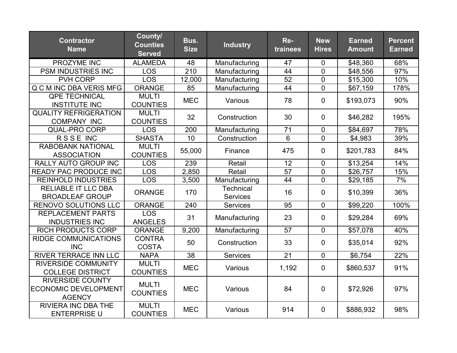| <b>Contractor</b><br><b>Name</b>                                        | County/<br><b>Counties</b><br><b>Served</b> | Bus.<br><b>Size</b> | <b>Industry</b>                     | Re-<br>trainees | <b>New</b><br><b>Hires</b> | <b>Earned</b><br><b>Amount</b> | <b>Percent</b><br><b>Earned</b> |
|-------------------------------------------------------------------------|---------------------------------------------|---------------------|-------------------------------------|-----------------|----------------------------|--------------------------------|---------------------------------|
| PROZYME INC                                                             | <b>ALAMEDA</b>                              | 48                  | Manufacturing                       | 47              | 0                          | \$48,360                       | 68%                             |
| <b>PSM INDUSTRIES INC</b>                                               | <b>LOS</b>                                  | 210                 | Manufacturing                       | 44              | $\overline{0}$             | \$48,556                       | 97%                             |
| PVH CORP                                                                | <b>LOS</b>                                  | 12,000              | Manufacturing                       | $\overline{52}$ | $\overline{0}$             | \$15,300                       | 10%                             |
| Q C M INC DBA VERIS MFG                                                 | <b>ORANGE</b>                               | 85                  | Manufacturing                       | 44              | $\overline{0}$             | \$67,159                       | 178%                            |
| <b>QPE TECHNICAL</b><br><b>INSTITUTE INC</b>                            | <b>MULTI</b><br><b>COUNTIES</b>             | <b>MEC</b>          | Various                             | 78              | $\overline{0}$             | \$193,073                      | 90%                             |
| <b>QUALITY REFRIGERATION</b><br><b>COMPANY INC</b>                      | <b>MULTI</b><br><b>COUNTIES</b>             | 32                  | Construction                        | 30              | $\mathbf 0$                | \$46,282                       | 195%                            |
| <b>QUAL-PRO CORP</b>                                                    | LOS                                         | 200                 | Manufacturing                       | 71              | $\mathbf 0$                | \$84,697                       | 78%                             |
| RSSE INC                                                                | <b>SHASTA</b>                               | 10                  | Construction                        | $6\phantom{1}$  | $\mathbf 0$                | \$4,983                        | 39%                             |
| <b>RABOBANK NATIONAL</b><br><b>ASSOCIATION</b>                          | <b>MULTI</b><br><b>COUNTIES</b>             | 55,000              | Finance                             | 475             | $\mathbf 0$                | \$201,783                      | 84%                             |
| <b>RALLY AUTO GROUP INC</b>                                             | <b>LOS</b>                                  | 239                 | Retail                              | 12              | $\mathbf 0$                | \$13,254                       | 14%                             |
| READY PAC PRODUCE INC                                                   | <b>LOS</b>                                  | 2,850               | Retail                              | 57              | $\mathbf 0$                | \$26,757                       | 15%                             |
| <b>REINHOLD INDUSTRIES</b>                                              | <b>LOS</b>                                  | 3,500               | Manufacturing                       | 44              | $\overline{0}$             | \$29,185                       | 7%                              |
| <b>RELIABLE IT LLC DBA</b><br><b>BROADLEAF GROUP</b>                    | <b>ORANGE</b>                               | 170                 | <b>Technical</b><br><b>Services</b> | 16              | $\mathbf 0$                | \$10,399                       | 36%                             |
| <b>RENOVO SOLUTIONS LLC</b>                                             | <b>ORANGE</b>                               | 240                 | <b>Services</b>                     | 95              | $\mathbf 0$                | \$99,220                       | 100%                            |
| <b>REPLACEMENT PARTS</b><br><b>INDUSTRIES INC</b>                       | <b>LOS</b><br><b>ANGELES</b>                | 31                  | Manufacturing                       | 23              | $\overline{0}$             | \$29,284                       | 69%                             |
| <b>RICH PRODUCTS CORP</b>                                               | <b>ORANGE</b>                               | 9,200               | Manufacturing                       | 57              | $\Omega$                   | \$57,078                       | 40%                             |
| <b>RIDGE COMMUNICATIONS</b><br><b>INC</b>                               | <b>CONTRA</b><br><b>COSTA</b>               | 50                  | Construction                        | 33              | $\overline{0}$             | \$35,014                       | 92%                             |
| <b>RIVER TERRACE INN LLC</b>                                            | <b>NAPA</b>                                 | $\overline{38}$     | <b>Services</b>                     | $\overline{21}$ | $\mathbf 0$                | \$6,754                        | 22%                             |
| <b>RIVERSIDE COMMUNITY</b><br><b>COLLEGE DISTRICT</b>                   | <b>MULTI</b><br><b>COUNTIES</b>             | <b>MEC</b>          | Various                             | 1,192           | $\mathbf 0$                | \$860,537                      | 91%                             |
| <b>RIVERSIDE COUNTY</b><br><b>ECONOMIC DEVELOPMENT</b><br><b>AGENCY</b> | <b>MULTI</b><br><b>COUNTIES</b>             | <b>MEC</b>          | Various                             | 84              | $\mathbf 0$                | \$72,926                       | 97%                             |
| <b>RIVIERA INC DBA THE</b><br><b>ENTERPRISE U</b>                       | <b>MULTI</b><br><b>COUNTIES</b>             | <b>MEC</b>          | Various                             | 914             | $\mathbf 0$                | \$886,932                      | 98%                             |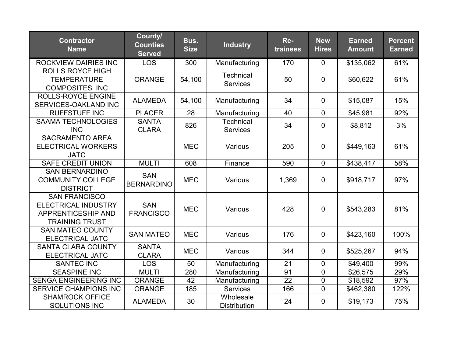| <b>Contractor</b><br><b>Name</b>                                                                         | County/<br><b>Counties</b><br><b>Served</b> | Bus.<br><b>Size</b> | <b>Industry</b>                     | Re-<br>trainees | <b>New</b><br><b>Hires</b> | <b>Earned</b><br><b>Amount</b> | <b>Percent</b><br><b>Earned</b> |
|----------------------------------------------------------------------------------------------------------|---------------------------------------------|---------------------|-------------------------------------|-----------------|----------------------------|--------------------------------|---------------------------------|
| <b>ROCKVIEW DAIRIES INC</b>                                                                              | <b>LOS</b>                                  | 300                 | Manufacturing                       | 170             | $\overline{0}$             | \$135,062                      | 61%                             |
| <b>ROLLS ROYCE HIGH</b><br><b>TEMPERATURE</b><br><b>COMPOSITES INC</b>                                   | <b>ORANGE</b>                               | 54,100              | <b>Technical</b><br>Services        | 50              | 0                          | \$60,622                       | 61%                             |
| <b>ROLLS-ROYCE ENGINE</b><br>SERVICES-OAKLAND INC                                                        | <b>ALAMEDA</b>                              | 54,100              | Manufacturing                       | 34              | 0                          | \$15,087                       | 15%                             |
| <b>RUFFSTUFF INC</b>                                                                                     | <b>PLACER</b>                               | 28                  | Manufacturing                       | 40              | $\overline{0}$             | \$45,981                       | 92%                             |
| <b>SAAMA TECHNOLOGIES</b><br><b>INC</b>                                                                  | <b>SANTA</b><br><b>CLARA</b>                | 826                 | <b>Technical</b><br><b>Services</b> | 34              | 0                          | \$8,812                        | 3%                              |
| <b>SACRAMENTO AREA</b><br><b>ELECTRICAL WORKERS</b><br><b>JATC</b>                                       |                                             | <b>MEC</b>          | Various                             | 205             | 0                          | \$449,163                      | 61%                             |
| <b>SAFE CREDIT UNION</b>                                                                                 | <b>MULTI</b>                                | 608                 | Finance                             | 590             | $\mathbf 0$                | \$438,417                      | 58%                             |
| <b>SAN BERNARDINO</b><br><b>COMMUNITY COLLEGE</b><br><b>DISTRICT</b>                                     | <b>SAN</b><br><b>BERNARDINO</b>             | <b>MEC</b>          | Various                             | 1,369           | $\mathbf 0$                | \$918,717                      | 97%                             |
| <b>SAN FRANCISCO</b><br><b>ELECTRICAL INDUSTRY</b><br><b>APPRENTICESHIP AND</b><br><b>TRAINING TRUST</b> | <b>SAN</b><br><b>FRANCISCO</b>              | <b>MEC</b>          | Various                             | 428             | 0                          | \$543,283                      | 81%                             |
| <b>SAN MATEO COUNTY</b><br><b>ELECTRICAL JATC</b>                                                        | <b>SAN MATEO</b>                            | <b>MEC</b>          | Various                             | 176             | 0                          | \$423,160                      | 100%                            |
| <b>SANTA CLARA COUNTY</b><br><b>ELECTRICAL JATC</b>                                                      | <b>SANTA</b><br><b>CLARA</b>                | <b>MEC</b>          | Various                             | 344             | 0                          | \$525,267                      | 94%                             |
| <b>SANTEC INC</b>                                                                                        | <b>LOS</b>                                  | 50                  | Manufacturing                       | 21              | 0                          | \$49,400                       | 99%                             |
| <b>SEASPINE INC</b>                                                                                      | <b>MULTI</b>                                | 280                 | Manufacturing                       | 91              | $\mathbf 0$                | \$26,575                       | 29%                             |
| <b>SENGA ENGINEERING INC</b>                                                                             | <b>ORANGE</b>                               | 42                  | Manufacturing                       | 22              | $\mathbf 0$                | \$18,592                       | 97%                             |
| <b>SERVICE CHAMPIONS INC</b>                                                                             | <b>ORANGE</b>                               | 185                 | <b>Services</b>                     | 166             | $\overline{0}$             | \$462,380                      | 122%                            |
| <b>SHAMROCK OFFICE</b><br><b>SOLUTIONS INC</b>                                                           | <b>ALAMEDA</b>                              | 30                  | Wholesale<br><b>Distribution</b>    | 24              | 0                          | \$19,173                       | 75%                             |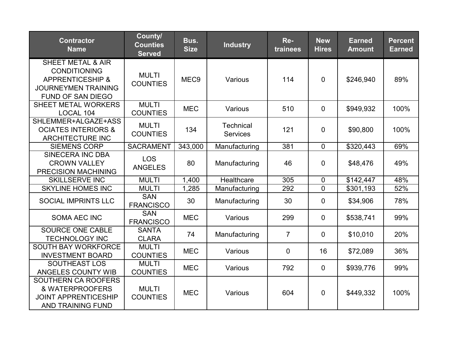| <b>Contractor</b><br><b>Name</b>                                                                                                      | County/<br><b>Counties</b><br><b>Served</b> | Bus.<br><b>Size</b> | <b>Industry</b>                     | Re-<br>trainees | <b>New</b><br><b>Hires</b> | <b>Earned</b><br><b>Amount</b> | <b>Percent</b><br><b>Earned</b> |
|---------------------------------------------------------------------------------------------------------------------------------------|---------------------------------------------|---------------------|-------------------------------------|-----------------|----------------------------|--------------------------------|---------------------------------|
| <b>SHEET METAL &amp; AIR</b><br><b>CONDITIONING</b><br><b>APPRENTICESHIP &amp;</b><br><b>JOURNEYMEN TRAINING</b><br>FUND OF SAN DIEGO | <b>MULTI</b><br><b>COUNTIES</b>             | MEC <sub>9</sub>    | Various                             | 114             | $\overline{0}$             | \$246,940                      | 89%                             |
| <b>SHEET METAL WORKERS</b><br>LOCAL 104                                                                                               | <b>MULTI</b><br><b>COUNTIES</b>             | <b>MEC</b>          | Various                             | 510             | $\overline{0}$             | \$949,932                      | 100%                            |
| SHLEMMER+ALGAZE+ASS<br><b>OCIATES INTERIORS &amp;</b><br><b>ARCHITECTURE INC</b>                                                      | <b>MULTI</b><br><b>COUNTIES</b>             | 134                 | <b>Technical</b><br><b>Services</b> | 121             | $\mathbf 0$                | \$90,800                       | 100%                            |
| <b>SIEMENS CORP</b>                                                                                                                   | <b>SACRAMENT</b>                            | 343,000             | Manufacturing                       | 381             | $\mathbf{0}$               | \$320,443                      | 69%                             |
| <b>SINECERA INC DBA</b><br><b>CROWN VALLEY</b><br><b>PRECISION MACHINING</b>                                                          | <b>LOS</b><br><b>ANGELES</b>                | 80                  | Manufacturing                       | 46              | $\overline{0}$             | \$48,476                       | 49%                             |
| <b>SKILLSERVE INC</b>                                                                                                                 | <b>MULTI</b>                                | 1,400               | Healthcare                          | 305             | $\overline{0}$             | \$142,447                      | 48%                             |
| <b>SKYLINE HOMES INC</b>                                                                                                              | <b>MULTI</b>                                | 1,285               | Manufacturing                       | 292             | $\overline{0}$             | \$301,193                      | 52%                             |
| <b>SOCIAL IMPRINTS LLC</b>                                                                                                            | SAN<br><b>FRANCISCO</b>                     | 30                  | Manufacturing                       | 30              | $\mathbf 0$                | \$34,906                       | 78%                             |
| <b>SOMA AEC INC</b>                                                                                                                   | <b>SAN</b><br><b>FRANCISCO</b>              | <b>MEC</b>          | Various                             | 299             | $\mathbf 0$                | \$538,741                      | 99%                             |
| SOURCE ONE CABLE<br><b>TECHNOLOGY INC</b>                                                                                             | <b>SANTA</b><br><b>CLARA</b>                | 74                  | Manufacturing                       | $\overline{7}$  | $\mathbf 0$                | \$10,010                       | 20%                             |
| <b>SOUTH BAY WORKFORCE</b><br><b>INVESTMENT BOARD</b>                                                                                 | <b>MULTI</b><br><b>COUNTIES</b>             | <b>MEC</b>          | Various                             | 0               | 16                         | \$72,089                       | 36%                             |
| <b>SOUTHEAST LOS</b><br>ANGELES COUNTY WIB                                                                                            | <b>MULTI</b><br><b>COUNTIES</b>             | <b>MEC</b>          | Various                             | 792             | $\overline{0}$             | \$939,776                      | 99%                             |
| SOUTHERN CA ROOFERS<br>& WATERPROOFERS<br><b>JOINT APPRENTICESHIP</b><br><b>AND TRAINING FUND</b>                                     | <b>MULTI</b><br><b>COUNTIES</b>             | <b>MEC</b>          | Various                             | 604             | $\mathbf 0$                | \$449,332                      | 100%                            |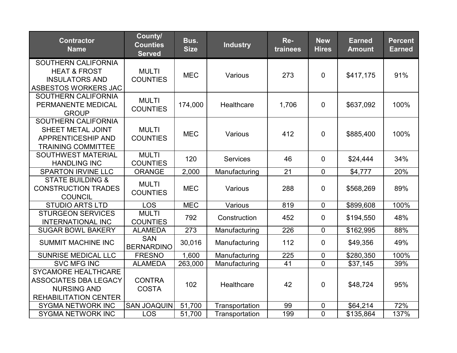| <b>Contractor</b><br><b>Name</b>                                                                                 | County/<br><b>Counties</b><br><b>Served</b> | Bus.<br><b>Size</b> | <b>Industry</b> | Re-<br>trainees | <b>New</b><br><b>Hires</b> | <b>Earned</b><br><b>Amount</b> | <b>Percent</b><br><b>Earned</b> |
|------------------------------------------------------------------------------------------------------------------|---------------------------------------------|---------------------|-----------------|-----------------|----------------------------|--------------------------------|---------------------------------|
| SOUTHERN CALIFORNIA<br><b>HEAT &amp; FROST</b><br><b>INSULATORS AND</b><br>ASBESTOS WORKERS JAC                  | <b>MULTI</b><br><b>COUNTIES</b>             | <b>MEC</b>          | Various         | 273             | $\mathbf 0$                | \$417,175                      | 91%                             |
| SOUTHERN CALIFORNIA<br>PERMANENTE MEDICAL<br><b>GROUP</b>                                                        | <b>MULTI</b><br><b>COUNTIES</b>             | 174,000             | Healthcare      | 1,706           | $\overline{0}$             | \$637,092                      | 100%                            |
| <b>SOUTHERN CALIFORNIA</b><br>SHEET METAL JOINT<br><b>APPRENTICESHIP AND</b><br><b>TRAINING COMMITTEE</b>        | <b>MULTI</b><br><b>COUNTIES</b>             | <b>MEC</b>          | Various         | 412             | 0                          | \$885,400                      | 100%                            |
| <b>SOUTHWEST MATERIAL</b><br><b>HANDLING INC</b>                                                                 | <b>MULTI</b><br><b>COUNTIES</b>             | 120                 | <b>Services</b> | 46              | $\overline{0}$             | \$24,444                       | 34%                             |
| <b>SPARTON IRVINE LLC</b>                                                                                        | <b>ORANGE</b>                               | 2,000               | Manufacturing   | 21              | $\mathbf 0$                | \$4,777                        | 20%                             |
| <b>STATE BUILDING &amp;</b><br><b>CONSTRUCTION TRADES</b><br><b>COUNCIL</b>                                      | <b>MULTI</b><br><b>COUNTIES</b>             | <b>MEC</b>          | Various         | 288             | 0                          | \$568,269                      | 89%                             |
| <b>STUDIO ARTS LTD</b>                                                                                           | <b>LOS</b>                                  | <b>MEC</b>          | Various         | 819             | $\mathbf 0$                | \$899,608                      | 100%                            |
| <b>STURGEON SERVICES</b><br><b>INTERNATIONAL INC</b>                                                             | <b>MULTI</b><br><b>COUNTIES</b>             | 792                 | Construction    | 452             | 0                          | \$194,550                      | 48%                             |
| <b>SUGAR BOWL BAKERY</b>                                                                                         | <b>ALAMEDA</b>                              | 273                 | Manufacturing   | 226             | $\overline{0}$             | \$162,995                      | 88%                             |
| <b>SUMMIT MACHINE INC</b>                                                                                        | <b>SAN</b><br><b>BERNARDINO</b>             | 30,016              | Manufacturing   | 112             | $\mathbf 0$                | \$49,356                       | 49%                             |
| <b>SUNRISE MEDICAL LLC</b>                                                                                       | <b>FRESNO</b>                               | 1,600               | Manufacturing   | 225             | 0                          | \$280,350                      | 100%                            |
| <b>SVC MFG INC</b>                                                                                               | <b>ALAMEDA</b>                              | 263,000             | Manufacturing   | 41              | $\mathbf 0$                | \$37,145                       | 39%                             |
| <b>SYCAMORE HEALTHCARE</b><br><b>ASSOCIATES DBA LEGACY</b><br><b>NURSING AND</b><br><b>REHABILITATION CENTER</b> | <b>CONTRA</b><br><b>COSTA</b>               | 102                 | Healthcare      | 42              | $\overline{0}$             | \$48,724                       | 95%                             |
| <b>SYGMA NETWORK INC</b>                                                                                         | <b>SAN JOAQUIN</b>                          | 51,700              | Transportation  | 99              | 0                          | \$64,214                       | 72%                             |
| <b>SYGMA NETWORK INC</b>                                                                                         | <b>LOS</b>                                  | 51,700              | Transportation  | 199             | $\overline{0}$             | \$135,864                      | 137%                            |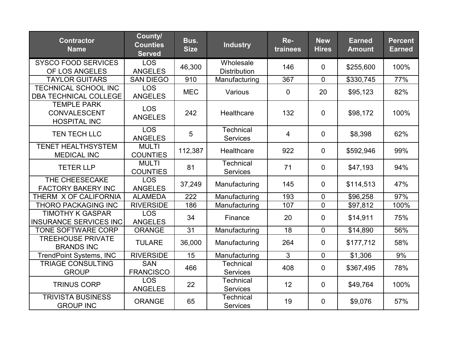| <b>Contractor</b><br><b>Name</b>                                 | County/<br><b>Counties</b><br><b>Served</b> | Bus.<br><b>Size</b> | <b>Industry</b>                     | Re-<br>trainees | <b>New</b><br><b>Hires</b> | <b>Earned</b><br><b>Amount</b> | <b>Percent</b><br><b>Earned</b> |
|------------------------------------------------------------------|---------------------------------------------|---------------------|-------------------------------------|-----------------|----------------------------|--------------------------------|---------------------------------|
| <b>SYSCO FOOD SERVICES</b>                                       | <b>LOS</b>                                  | 46,300              | Wholesale                           | 146             | $\overline{0}$             | \$255,600                      | 100%                            |
| OF LOS ANGELES                                                   | <b>ANGELES</b>                              |                     | <b>Distribution</b>                 |                 |                            |                                |                                 |
| <b>TAYLOR GUITARS</b>                                            | <b>SAN DIEGO</b>                            | 910                 | Manufacturing                       | 367             | $\mathbf 0$                | \$330,745                      | 77%                             |
| <b>TECHNICAL SCHOOL INC</b><br><b>DBA TECHNICAL COLLEGE</b>      | <b>LOS</b><br><b>ANGELES</b>                | <b>MEC</b>          | Various                             | $\overline{0}$  | 20                         | \$95,123                       | 82%                             |
| <b>TEMPLE PARK</b><br><b>CONVALESCENT</b><br><b>HOSPITAL INC</b> | <b>LOS</b><br><b>ANGELES</b>                | 242                 | Healthcare                          | 132             | $\mathbf 0$                | \$98,172                       | 100%                            |
| TEN TECH LLC                                                     | <b>LOS</b><br><b>ANGELES</b>                | 5                   | <b>Technical</b><br><b>Services</b> | $\overline{4}$  | $\mathbf 0$                | \$8,398                        | 62%                             |
| <b>TENET HEALTHSYSTEM</b><br><b>MEDICAL INC</b>                  | <b>MULTI</b><br><b>COUNTIES</b>             | 112,387             | Healthcare                          | 922             | $\mathbf 0$                | \$592,946                      | 99%                             |
| <b>TETER LLP</b>                                                 | <b>MULTI</b><br><b>COUNTIES</b>             | 81                  | Technical<br><b>Services</b>        | 71              | $\mathbf 0$                | \$47,193                       | 94%                             |
| THE CHEESECAKE                                                   | <b>LOS</b>                                  | 37,249              | Manufacturing                       | 145             | $\mathbf 0$                | \$114,513                      | 47%                             |
| <b>FACTORY BAKERY INC</b>                                        | <b>ANGELES</b>                              |                     |                                     |                 |                            |                                |                                 |
| THERM X OF CALIFORNIA                                            | <b>ALAMEDA</b>                              | 222                 | Manufacturing                       | 193             | 0                          | \$96,258                       | 97%                             |
| <b>THORO PACKAGING INC</b>                                       | <b>RIVERSIDE</b>                            | 186                 | Manufacturing                       | 107             | $\overline{0}$             | \$97,812                       | 100%                            |
| <b>TIMOTHY K GASPAR</b><br><b>INSURANCE SERVICES INC</b>         | <b>LOS</b><br><b>ANGELES</b>                | 34                  | Finance                             | 20              | $\mathbf 0$                | \$14,911                       | 75%                             |
| TONE SOFTWARE CORP                                               | <b>ORANGE</b>                               | 31                  | Manufacturing                       | 18              | $\mathbf 0$                | \$14,890                       | 56%                             |
| <b>TREEHOUSE PRIVATE</b><br><b>BRANDS INC</b>                    | <b>TULARE</b>                               | 36,000              | Manufacturing                       | 264             | $\mathbf 0$                | \$177,712                      | 58%                             |
| <b>TrendPoint Systems, INC</b>                                   | <b>RIVERSIDE</b>                            | $\overline{15}$     | Manufacturing                       | 3               | $\overline{0}$             | \$1,306                        | 9%                              |
| <b>TRIAGE CONSULTING</b><br><b>GROUP</b>                         | <b>SAN</b><br><b>FRANCISCO</b>              | 466                 | Technical<br><b>Services</b>        | 408             | $\mathbf 0$                | \$367,495                      | 78%                             |
| <b>TRINUS CORP</b>                                               | <b>LOS</b><br><b>ANGELES</b>                | 22                  | <b>Technical</b><br><b>Services</b> | 12              | $\mathbf 0$                | \$49,764                       | 100%                            |
| <b>TRIVISTA BUSINESS</b><br><b>GROUP INC</b>                     | <b>ORANGE</b>                               | 65                  | <b>Technical</b><br><b>Services</b> | 19              | $\mathbf 0$                | \$9,076                        | 57%                             |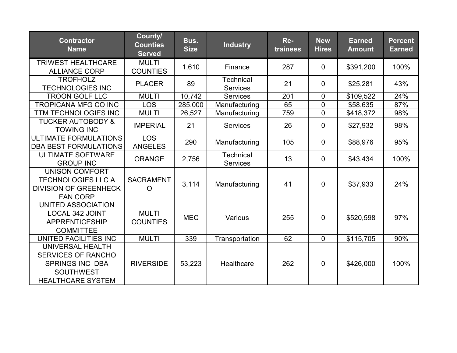| <b>Contractor</b><br><b>Name</b>                                                                                               | County/<br><b>Counties</b><br><b>Served</b> | Bus.<br><b>Size</b> | <b>Industry</b>                     | Re-<br>trainees | <b>New</b><br><b>Hires</b> | <b>Earned</b><br><b>Amount</b> | <b>Percent</b><br><b>Earned</b> |
|--------------------------------------------------------------------------------------------------------------------------------|---------------------------------------------|---------------------|-------------------------------------|-----------------|----------------------------|--------------------------------|---------------------------------|
| <b>TRIWEST HEALTHCARE</b><br><b>ALLIANCE CORP</b>                                                                              | <b>MULTI</b><br><b>COUNTIES</b>             | 1,610               | Finance                             | 287             | $\overline{0}$             | \$391,200                      | 100%                            |
| <b>TROFHOLZ</b><br><b>TECHNOLOGIES INC</b>                                                                                     | <b>PLACER</b>                               | 89                  | <b>Technical</b><br><b>Services</b> | 21              | 0                          | \$25,281                       | 43%                             |
| <b>TROON GOLF LLC</b>                                                                                                          | <b>MULTI</b>                                | 10,742              | <b>Services</b>                     | 201             | $\mathbf 0$                | \$109,522                      | 24%                             |
| <b>TROPICANA MFG CO INC</b>                                                                                                    | <b>LOS</b>                                  | 285,000             | Manufacturing                       | 65              | $\overline{0}$             | \$58,635                       | 87%                             |
| <b>TTM TECHNOLOGIES INC</b>                                                                                                    | <b>MULTI</b>                                | 26,527              | Manufacturing                       | 759             | $\mathbf 0$                | \$418,372                      | 98%                             |
| <b>TUCKER AUTOBODY &amp;</b><br><b>TOWING INC</b>                                                                              | <b>IMPERIAL</b>                             | 21                  | <b>Services</b>                     | 26              | $\mathbf 0$                | \$27,932                       | 98%                             |
| <b>ULTIMATE FORMULATIONS</b><br><b>DBA BEST FORMULATIONS</b>                                                                   | <b>LOS</b><br><b>ANGELES</b>                | 290                 | Manufacturing                       | 105             | $\overline{0}$             | \$88,976                       | 95%                             |
| <b>ULTIMATE SOFTWARE</b><br><b>GROUP INC</b>                                                                                   | <b>ORANGE</b>                               | 2,756               | Technical<br><b>Services</b>        | 13              | $\overline{0}$             | \$43,434                       | 100%                            |
| <b>UNISON COMFORT</b><br><b>TECHNOLOGIES LLC A</b><br><b>DIVISION OF GREENHECK</b><br><b>FAN CORP</b>                          | <b>SACRAMENT</b><br>O                       | 3,114               | Manufacturing                       | 41              | $\overline{0}$             | \$37,933                       | 24%                             |
| UNITED ASSOCIATION<br><b>LOCAL 342 JOINT</b><br><b>APPRENTICESHIP</b><br><b>COMMITTEE</b>                                      | <b>MULTI</b><br><b>COUNTIES</b>             | <b>MEC</b>          | Various                             | 255             | $\overline{0}$             | \$520,598                      | 97%                             |
| UNITED FACILITIES INC                                                                                                          | <b>MULTI</b>                                | 339                 | Transportation                      | 62              | $\overline{0}$             | \$115,705                      | 90%                             |
| <b>UNIVERSAL HEALTH</b><br><b>SERVICES OF RANCHO</b><br><b>SPRINGS INC DBA</b><br><b>SOUTHWEST</b><br><b>HEALTHCARE SYSTEM</b> | <b>RIVERSIDE</b>                            | 53,223              | Healthcare                          | 262             | $\overline{0}$             | \$426,000                      | 100%                            |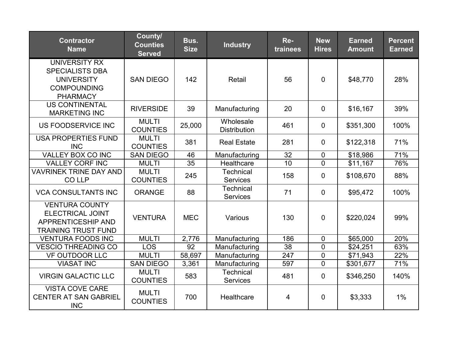| <b>Contractor</b><br><b>Name</b>                                                                      | County/<br><b>Counties</b><br><b>Served</b> | Bus.<br><b>Size</b> | <b>Industry</b>                     | Re-<br>trainees | <b>New</b><br><b>Hires</b> | <b>Earned</b><br><b>Amount</b> | <b>Percent</b><br><b>Earned</b> |
|-------------------------------------------------------------------------------------------------------|---------------------------------------------|---------------------|-------------------------------------|-----------------|----------------------------|--------------------------------|---------------------------------|
| UNIVERSITY RX<br><b>SPECIALISTS DBA</b><br><b>UNIVERSITY</b><br><b>COMPOUNDING</b><br><b>PHARMACY</b> | <b>SAN DIEGO</b>                            | 142                 | Retail                              | 56              | $\overline{0}$             | \$48,770                       | 28%                             |
| <b>US CONTINENTAL</b><br><b>MARKETING INC</b>                                                         | <b>RIVERSIDE</b>                            | 39                  | Manufacturing                       | 20              | $\mathbf 0$                | \$16,167                       | 39%                             |
| US FOODSERVICE INC                                                                                    | <b>MULTI</b><br><b>COUNTIES</b>             | 25,000              | Wholesale<br><b>Distribution</b>    | 461             | $\mathbf 0$                | \$351,300                      | 100%                            |
| <b>USA PROPERTIES FUND</b><br><b>INC</b>                                                              | <b>MULTI</b><br><b>COUNTIES</b>             | 381                 | <b>Real Estate</b>                  | 281             | $\mathbf 0$                | \$122,318                      | 71%                             |
| <b>VALLEY BOX CO INC</b>                                                                              | <b>SAN DIEGO</b>                            | 46                  | Manufacturing                       | $\overline{32}$ | $\overline{0}$             | \$18,986                       | 71%                             |
| <b>VALLEY CORF INC</b>                                                                                | <b>MULTI</b>                                | 35                  | Healthcare                          | 10              | $\overline{0}$             | \$11,167                       | 76%                             |
| <b>VAVRINEK TRINE DAY AND</b><br><b>COLLP</b>                                                         | <b>MULTI</b><br><b>COUNTIES</b>             | 245                 | <b>Technical</b><br><b>Services</b> | 158             | $\mathbf 0$                | \$108,670                      | 88%                             |
| <b>VCA CONSULTANTS INC</b>                                                                            | <b>ORANGE</b>                               | 88                  | <b>Technical</b><br><b>Services</b> | 71              | $\overline{0}$             | \$95,472                       | 100%                            |
| <b>VENTURA COUNTY</b><br><b>ELECTRICAL JOINT</b><br>APPRENTICESHIP AND<br><b>TRAINING TRUST FUND</b>  | <b>VENTURA</b>                              | <b>MEC</b>          | Various                             | 130             | $\mathbf 0$                | \$220,024                      | 99%                             |
| <b>VENTURA FOODS INC</b>                                                                              | <b>MULTI</b>                                | 2,776               | Manufacturing                       | 186             | $\mathbf 0$                | \$65,000                       | 20%                             |
| <b>VESCIO THREADING CO</b>                                                                            | <b>LOS</b>                                  | 92                  | Manufacturing                       | $\overline{38}$ | $\overline{0}$             | \$24,251                       | 63%                             |
| <b>VF OUTDOOR LLC</b>                                                                                 | <b>MULTI</b>                                | 58,697              | Manufacturing                       | 247             | $\boldsymbol{0}$           | \$71,943                       | 22%                             |
| <b>VIASAT INC</b>                                                                                     | <b>SAN DIEGO</b>                            | 3,361               | Manufacturing                       | 597             | $\mathbf 0$                | \$301,677                      | 71%                             |
| <b>VIRGIN GALACTIC LLC</b>                                                                            | <b>MULTI</b><br><b>COUNTIES</b>             | 583                 | <b>Technical</b><br><b>Services</b> | 481             | $\overline{0}$             | \$346,250                      | 140%                            |
| <b>VISTA COVE CARE</b><br><b>CENTER AT SAN GABRIEL</b><br><b>INC</b>                                  | <b>MULTI</b><br><b>COUNTIES</b>             | 700                 | Healthcare                          | $\overline{4}$  | $\Omega$                   | \$3,333                        | 1%                              |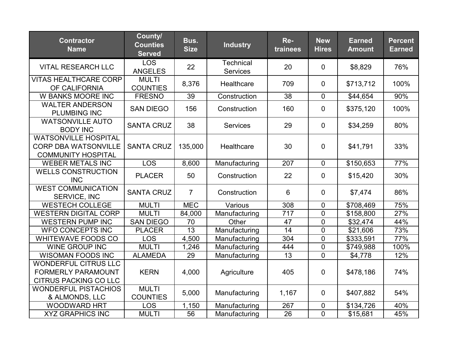| <b>Contractor</b><br><b>Name</b>                                                         | County/<br><b>Counties</b><br><b>Served</b> | Bus.<br><b>Size</b> | <b>Industry</b>                     | Re-<br>trainees | <b>New</b><br><b>Hires</b> | <b>Earned</b><br><b>Amount</b> | <b>Percent</b><br><b>Earned</b> |
|------------------------------------------------------------------------------------------|---------------------------------------------|---------------------|-------------------------------------|-----------------|----------------------------|--------------------------------|---------------------------------|
| <b>VITAL RESEARCH LLC</b>                                                                | <b>LOS</b><br><b>ANGELES</b>                | 22                  | <b>Technical</b><br><b>Services</b> | 20              | $\mathbf 0$                | \$8,829                        | 76%                             |
| <b>VITAS HEALTHCARE CORP</b><br>OF CALIFORNIA                                            | <b>MULTI</b><br><b>COUNTIES</b>             | 8,376               | Healthcare                          | 709             | $\overline{0}$             | \$713,712                      | 100%                            |
| <b>W BANKS MOORE INC</b>                                                                 | <b>FRESNO</b>                               | 39                  | Construction                        | 38              | $\mathbf 0$                | \$44,654                       | 90%                             |
| <b>WALTER ANDERSON</b><br><b>PLUMBING INC</b>                                            | <b>SAN DIEGO</b>                            | 156                 | Construction                        | 160             | $\overline{0}$             | \$375,120                      | 100%                            |
| <b>WATSONVILLE AUTO</b><br><b>BODY INC</b>                                               | <b>SANTA CRUZ</b>                           | 38                  | <b>Services</b>                     | 29              | $\mathbf 0$                | \$34,259                       | 80%                             |
| <b>WATSONVILLE HOSPITAL</b><br><b>CORP DBA WATSONVILLE</b><br><b>COMMUNITY HOSPITAL</b>  | <b>SANTA CRUZ</b>                           | 135,000             | Healthcare                          | 30              | $\mathbf 0$                | \$41,791                       | 33%                             |
| <b>WEBER METALS INC</b>                                                                  | <b>LOS</b>                                  | 8,600               | Manufacturing                       | 207             | $\mathbf 0$                | \$150,653                      | 77%                             |
| <b>WELLS CONSTRUCTION</b><br><b>INC</b>                                                  | <b>PLACER</b>                               | 50                  | Construction                        | 22              | $\mathbf 0$                | \$15,420                       | 30%                             |
| <b>WEST COMMUNICATION</b><br>SERVICE, INC                                                | <b>SANTA CRUZ</b>                           | $\overline{7}$      | Construction                        | 6               | $\mathbf 0$                | \$7,474                        | 86%                             |
| <b>WESTECH COLLEGE</b>                                                                   | <b>MULTI</b>                                | <b>MEC</b>          | Various                             | 308             | $\mathbf 0$                | \$708,469                      | 75%                             |
| <b>WESTERN DIGITAL CORP</b>                                                              | <b>MULTI</b>                                | 84,000              | Manufacturing                       | 717             | $\overline{0}$             | \$158,800                      | 27%                             |
| <b>WESTERN PUMP INC</b>                                                                  | <b>SAN DIEGO</b>                            | 70                  | Other                               | 47              | $\mathbf 0$                | \$32,474                       | 44%                             |
| <b>WFO CONCEPTS INC</b>                                                                  | <b>PLACER</b>                               | $\overline{13}$     | Manufacturing                       | $\overline{14}$ | $\overline{0}$             | \$21,606                       | 73%                             |
| <b>WHITEWAVE FOODS CO</b>                                                                | <b>LOS</b>                                  | 4,500               | Manufacturing                       | 304             | $\mathbf 0$                | \$333,591                      | 77%                             |
| <b>WINE GROUP INC</b>                                                                    | <b>MULTI</b>                                | 1,246               | Manufacturing                       | 444             | $\pmb{0}$                  | \$749,988                      | 100%                            |
| <b>WISOMAN FOODS INC</b>                                                                 | <b>ALAMEDA</b>                              | 29                  | Manufacturing                       | 13              | $\mathbf 0$                | \$4,778                        | 12%                             |
| <b>WONDERFUL CITRUS LLC</b><br><b>FORMERLY PARAMOUNT</b><br><b>CITRUS PACKING CO LLC</b> | <b>KERN</b>                                 | 4,000               | Agriculture                         | 405             | $\mathbf 0$                | \$478,186                      | 74%                             |
| <b>WONDERFUL PISTACHIOS</b><br>& ALMONDS, LLC                                            | <b>MULTI</b><br><b>COUNTIES</b>             | 5,000               | Manufacturing                       | 1,167           | $\mathbf 0$                | \$407,882                      | 54%                             |
| <b>WOODWARD HRT</b>                                                                      | <b>LOS</b>                                  | 1,150               | Manufacturing                       | 267             | 0                          | \$134,726                      | 40%                             |
| <b>XYZ GRAPHICS INC</b>                                                                  | <b>MULTI</b>                                | 56                  | Manufacturing                       | 26              | $\overline{0}$             | \$15,681                       | 45%                             |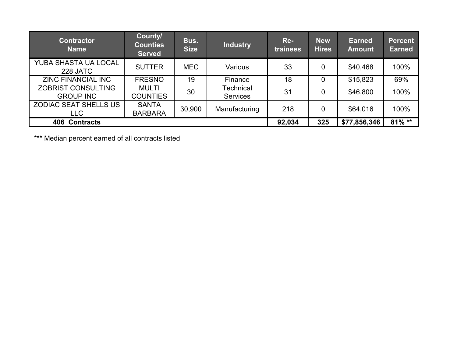| <b>Contractor</b><br><b>Name</b>              | County/<br><b>Counties</b><br><b>Served</b> | Bus.<br><b>Size</b> | <b>Industry</b>              | Re-<br><i>trainees</i> | <b>New</b><br><b>Hires</b> | <b>Earned</b><br><b>Amount</b> | <b>Percent</b><br><b>Earned</b> |
|-----------------------------------------------|---------------------------------------------|---------------------|------------------------------|------------------------|----------------------------|--------------------------------|---------------------------------|
| YUBA SHASTA UA LOCAL<br>228 JATC              | <b>SUTTER</b>                               | <b>MEC</b>          | Various                      | 33                     | 0                          | \$40,468                       | 100%                            |
| <b>ZINC FINANCIAL INC</b>                     | <b>FRESNO</b>                               | 19                  | Finance                      | 18                     | 0                          | \$15,823                       | 69%                             |
| <b>ZOBRIST CONSULTING</b><br><b>GROUP INC</b> | <b>MULTI</b><br><b>COUNTIES</b>             | 30                  | Technical<br><b>Services</b> | 31                     | $\overline{0}$             | \$46,800                       | 100%                            |
| <b>ZODIAC SEAT SHELLS US</b><br><b>LLC</b>    | <b>SANTA</b><br><b>BARBARA</b>              | 30,900              | Manufacturing                | 218                    | $\overline{0}$             | \$64,016                       | 100%                            |
| <b>406 Contracts</b>                          |                                             |                     |                              | 92,034                 | 325                        | \$77,856,346                   | $81\%$ **                       |

\*\*\* Median percent earned of all contracts listed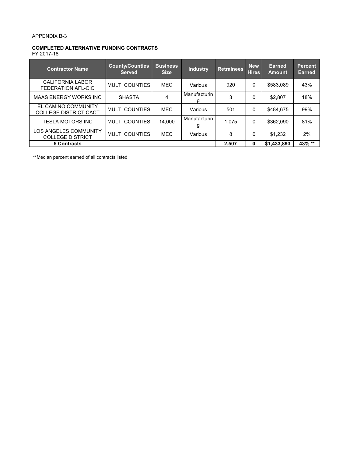#### APPENDIX B-3

#### **COMPLETED ALTERNATIVE FUNDING CONTRACTS**

FY 2017-18

| <b>Contractor Name</b>                                  | <b>County/Counties</b><br><b>Served</b> | <b>Business</b><br><b>Size</b> | <b>Industry</b>   | <b>Retrainees</b> | <b>New</b><br><b>Hires</b> | Earned<br><b>Amount</b> | <b>Percent</b><br><b>Earned</b> |
|---------------------------------------------------------|-----------------------------------------|--------------------------------|-------------------|-------------------|----------------------------|-------------------------|---------------------------------|
| CALIFORNIA LABOR<br>FEDERATION AFL-CIO                  | <b>MULTI COUNTIES</b>                   | <b>MEC</b>                     | Various           | 920               | $\mathbf{0}$               | \$583,089               | 43%                             |
| <b>MAAS ENERGY WORKS INC</b>                            | <b>SHASTA</b>                           | 4                              | Manufacturin<br>g | 3                 | 0                          | \$2.807                 | 18%                             |
| EL CAMINO COMMUNITY<br><b>COLLEGE DISTRICT CACT</b>     | <b>MULTI COUNTIES</b>                   | <b>MEC</b>                     | Various           | 501               | 0                          | \$484.675               | 99%                             |
| <b>TESLA MOTORS INC</b>                                 | <b>MULTI COUNTIES</b>                   | 14.000                         | Manufacturin<br>g | 1.075             | $\mathbf{0}$               | \$362.090               | 81%                             |
| <b>LOS ANGELES COMMUNITY</b><br><b>COLLEGE DISTRICT</b> | <b>MULTI COUNTIES</b>                   | <b>MEC</b>                     | Various           | 8                 | 0                          | \$1,232                 | 2%                              |
| <b>5 Contracts</b>                                      |                                         |                                |                   | 2.507             | 0                          | \$1,433,893             | 43% **                          |

\*\*Median percent earned of all contracts listed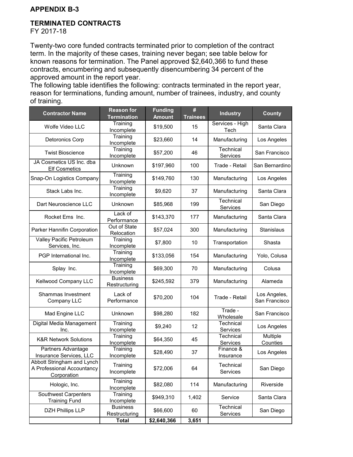#### **APPENDIX B-3**

#### **TERMINATED CONTRACTS**

FY 2017-18

Twenty-two core funded contracts terminated prior to completion of the contract term. In the majority of these cases, training never began; see table below for known reasons for termination. The Panel approved \$2,640,366 to fund these contracts, encumbering and subsequently disencumbering 34 percent of the approved amount in the report year.

The following table identifies the following: contracts terminated in the report year, reason for terminations, funding amount, number of trainees, industry, and county of training.

| <b>Contractor Name</b>                                                  | <b>Reason for</b><br><b>Termination</b> | <b>Funding</b><br><b>Amount</b> | #<br><b>Trainees</b> | <b>Industry</b>         | <b>County</b>                 |
|-------------------------------------------------------------------------|-----------------------------------------|---------------------------------|----------------------|-------------------------|-------------------------------|
| Wolfe Video LLC                                                         | Training<br>Incomplete                  | \$19,500                        | 15                   | Services - High<br>Tech | Santa Clara                   |
| <b>Detoronics Corp</b>                                                  | Training<br>Incomplete                  | \$23,660                        | 14                   | Manufacturing           | Los Angeles                   |
| <b>Twist Bioscience</b>                                                 | Training<br>Incomplete                  | \$57,200                        | 46                   | Technical<br>Services   | San Francisco                 |
| JA Cosmetics US Inc. dba<br><b>Elf Cosmetics</b>                        | Unknown                                 | \$197,960                       | 100                  | Trade - Retail          | San Bernardino                |
| Snap-On Logistics Company                                               | Training<br>Incomplete                  | \$149,760                       | 130                  | Manufacturing           | Los Angeles                   |
| Stack Labs Inc.                                                         | Training<br>Incomplete                  | \$9,620                         | 37                   | Manufacturing           | Santa Clara                   |
| Dart Neuroscience LLC                                                   | Unknown                                 | \$85,968                        | 199                  | Technical<br>Services   | San Diego                     |
| Rocket Ems Inc.                                                         | Lack of<br>Performance                  | \$143,370                       | 177                  | Manufacturing           | Santa Clara                   |
| Parker Hannifin Corporation                                             | Out of State<br>Relocation              | \$57,024                        | 300                  | Manufacturing           | Stanislaus                    |
| Valley Pacific Petroleum<br>Services, Inc.                              | Training<br>Incomplete                  | \$7,800                         | 10                   | Transportation          | Shasta                        |
| PGP International Inc.                                                  | Training<br>Incomplete                  | \$133,056                       | 154                  | Manufacturing           | Yolo, Colusa                  |
| Splay Inc.                                                              | Training<br>Incomplete                  | \$69,300                        | 70                   | Manufacturing           | Colusa                        |
| Kellwood Company LLC                                                    | <b>Business</b><br>Restructuring        | \$245,592                       | 379                  | Manufacturing           | Alameda                       |
| Shammas Investment<br>Company LLC                                       | Lack of<br>Performance                  | \$70,200                        | 104                  | Trade - Retail          | Los Angeles,<br>San Francisco |
| Mad Engine LLC                                                          | Unknown                                 | \$98,280                        | 182                  | Trade -<br>Wholesale    | San Francisco                 |
| Digital Media Management<br>Inc.                                        | Training<br>Incomplete                  | \$9,240                         | 12                   | Technical<br>Services   | Los Angeles                   |
| <b>K&amp;R Network Solutions</b>                                        | Training<br>Incomplete                  | \$64,350                        | 45                   | Technical<br>Services   | Multiple<br>Counties          |
| Partners Advantage<br>Insurance Services, LLC                           | Training<br>Incomplete                  | \$28,490                        | 37                   | Finance &<br>Insurance  | Los Angeles                   |
| Abbott Stringham and Lynch<br>A Professional Accountancy<br>Corporation | Training<br>Incomplete                  | \$72,006                        | 64                   | Technical<br>Services   | San Diego                     |
| Hologic, Inc.                                                           | Training<br>Incomplete                  | \$82,080                        | 114                  | Manufacturing           | Riverside                     |
| <b>Southwest Carpenters</b><br><b>Training Fund</b>                     | Training<br>Incomplete                  | \$949,310                       | 1,402                | Service                 | Santa Clara                   |
| <b>DZH Phillips LLP</b>                                                 | <b>Business</b><br>Restructuring        | \$66,600                        | 60                   | Technical<br>Services   | San Diego                     |
|                                                                         | <b>Total</b>                            | \$2,640,366                     | 3,651                |                         |                               |